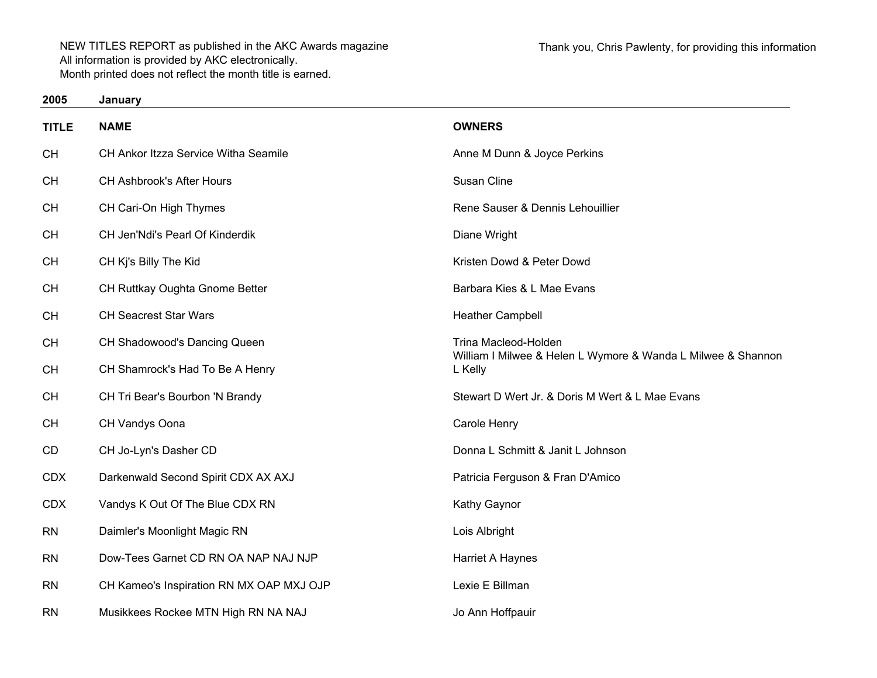| 2005         | January                                  |                                                                                      |
|--------------|------------------------------------------|--------------------------------------------------------------------------------------|
| <b>TITLE</b> | <b>NAME</b>                              | <b>OWNERS</b>                                                                        |
| <b>CH</b>    | CH Ankor Itzza Service Witha Seamile     | Anne M Dunn & Joyce Perkins                                                          |
| <b>CH</b>    | CH Ashbrook's After Hours                | Susan Cline                                                                          |
| <b>CH</b>    | CH Cari-On High Thymes                   | Rene Sauser & Dennis Lehouillier                                                     |
| <b>CH</b>    | CH Jen'Ndi's Pearl Of Kinderdik          | Diane Wright                                                                         |
| <b>CH</b>    | CH Kj's Billy The Kid                    | Kristen Dowd & Peter Dowd                                                            |
| <b>CH</b>    | CH Ruttkay Oughta Gnome Better           | Barbara Kies & L Mae Evans                                                           |
| <b>CH</b>    | <b>CH Seacrest Star Wars</b>             | <b>Heather Campbell</b>                                                              |
| <b>CH</b>    | CH Shadowood's Dancing Queen             | Trina Macleod-Holden<br>William I Milwee & Helen L Wymore & Wanda L Milwee & Shannon |
| <b>CH</b>    | CH Shamrock's Had To Be A Henry          | L Kelly                                                                              |
| CH           | CH Tri Bear's Bourbon 'N Brandy          | Stewart D Wert Jr. & Doris M Wert & L Mae Evans                                      |
| <b>CH</b>    | CH Vandys Oona                           | Carole Henry                                                                         |
| CD           | CH Jo-Lyn's Dasher CD                    | Donna L Schmitt & Janit L Johnson                                                    |
| <b>CDX</b>   | Darkenwald Second Spirit CDX AX AXJ      | Patricia Ferguson & Fran D'Amico                                                     |
| <b>CDX</b>   | Vandys K Out Of The Blue CDX RN          | Kathy Gaynor                                                                         |
| <b>RN</b>    | Daimler's Moonlight Magic RN             | Lois Albright                                                                        |
| <b>RN</b>    | Dow-Tees Garnet CD RN OA NAP NAJ NJP     | Harriet A Haynes                                                                     |
| <b>RN</b>    | CH Kameo's Inspiration RN MX OAP MXJ OJP | Lexie E Billman                                                                      |
| <b>RN</b>    | Musikkees Rockee MTN High RN NA NAJ      | Jo Ann Hoffpauir                                                                     |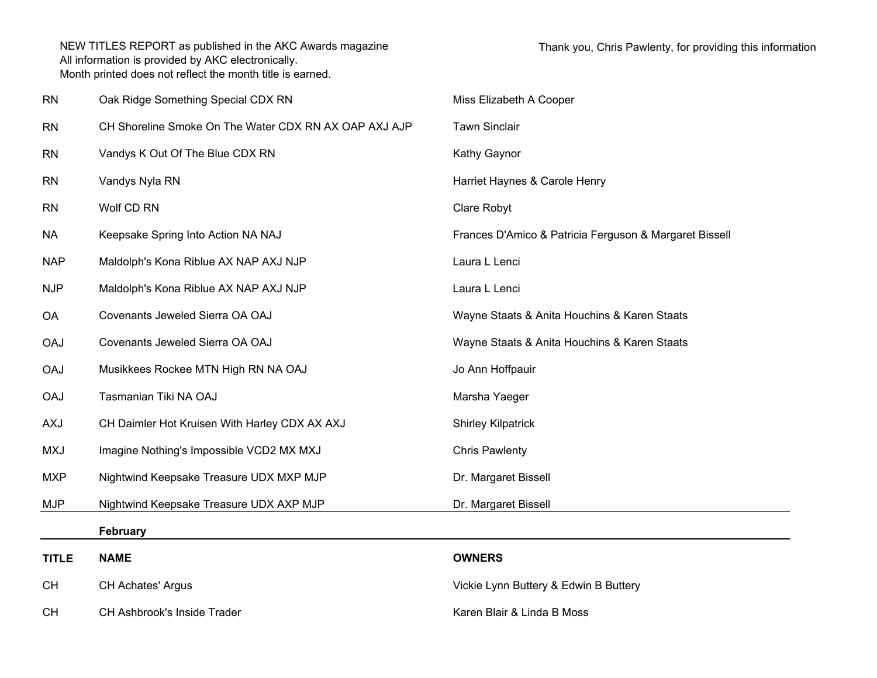| <b>RN</b>    | Oak Ridge Something Special CDX RN                    | Miss Elizabeth A Cooper                                |
|--------------|-------------------------------------------------------|--------------------------------------------------------|
| <b>RN</b>    | CH Shoreline Smoke On The Water CDX RN AX OAP AXJ AJP | <b>Tawn Sinclair</b>                                   |
| <b>RN</b>    | Vandys K Out Of The Blue CDX RN                       | Kathy Gaynor                                           |
| <b>RN</b>    | Vandys Nyla RN                                        | Harriet Haynes & Carole Henry                          |
| <b>RN</b>    | Wolf CD RN                                            | Clare Robyt                                            |
| <b>NA</b>    | Keepsake Spring Into Action NA NAJ                    | Frances D'Amico & Patricia Ferguson & Margaret Bissell |
| <b>NAP</b>   | Maldolph's Kona Riblue AX NAP AXJ NJP                 | Laura L Lenci                                          |
| <b>NJP</b>   | Maldolph's Kona Riblue AX NAP AXJ NJP                 | Laura L Lenci                                          |
| OA           | Covenants Jeweled Sierra OA OAJ                       | Wayne Staats & Anita Houchins & Karen Staats           |
| <b>OAJ</b>   | Covenants Jeweled Sierra OA OAJ                       | Wayne Staats & Anita Houchins & Karen Staats           |
| <b>OAJ</b>   | Musikkees Rockee MTN High RN NA OAJ                   | Jo Ann Hoffpauir                                       |
| <b>OAJ</b>   | Tasmanian Tiki NA OAJ                                 | Marsha Yaeger                                          |
| <b>AXJ</b>   | CH Daimler Hot Kruisen With Harley CDX AX AXJ         | <b>Shirley Kilpatrick</b>                              |
| <b>MXJ</b>   | Imagine Nothing's Impossible VCD2 MX MXJ              | <b>Chris Pawlenty</b>                                  |
| <b>MXP</b>   | Nightwind Keepsake Treasure UDX MXP MJP               | Dr. Margaret Bissell                                   |
| <b>MJP</b>   | Nightwind Keepsake Treasure UDX AXP MJP               | Dr. Margaret Bissell                                   |
|              | <b>February</b>                                       |                                                        |
| <b>TITLE</b> | <b>NAME</b>                                           | <b>OWNERS</b>                                          |
| <b>CH</b>    | <b>CH Achates' Argus</b>                              | Vickie Lynn Buttery & Edwin B Buttery                  |

CHCH Ashbrook's Inside Trader **Karen Blair & Linda B Moss** CH Ashbrook's Inside Trader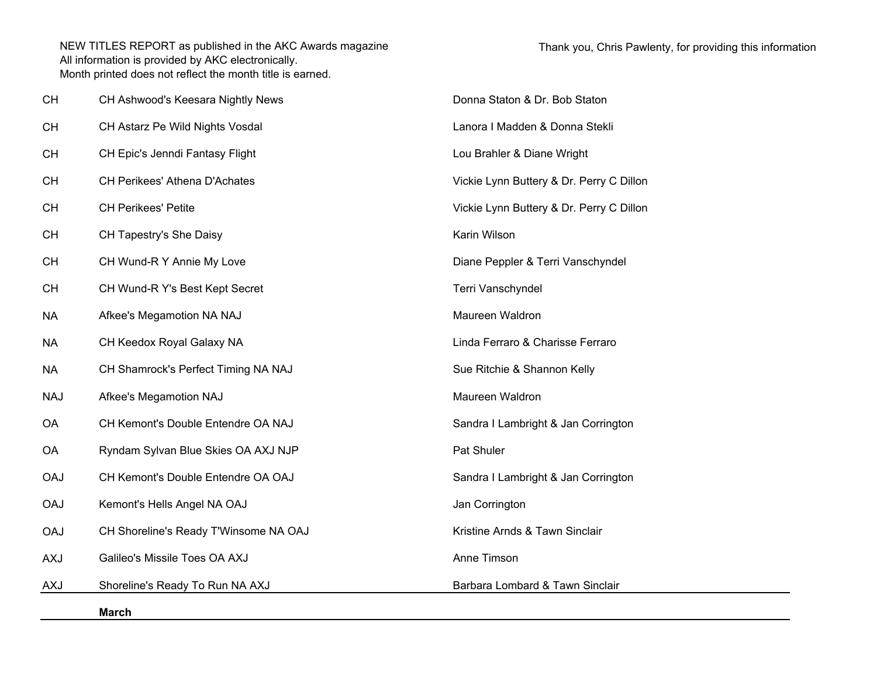|            | <b>March</b>                          |                                          |
|------------|---------------------------------------|------------------------------------------|
| <b>AXJ</b> | Shoreline's Ready To Run NA AXJ       | Barbara Lombard & Tawn Sinclair          |
| <b>AXJ</b> | Galileo's Missile Toes OA AXJ         | Anne Timson                              |
| <b>OAJ</b> | CH Shoreline's Ready T'Winsome NA OAJ | Kristine Arnds & Tawn Sinclair           |
| <b>OAJ</b> | Kemont's Hells Angel NA OAJ           | Jan Corrington                           |
| <b>OAJ</b> | CH Kemont's Double Entendre OA OAJ    | Sandra I Lambright & Jan Corrington      |
| OA         | Ryndam Sylvan Blue Skies OA AXJ NJP   | Pat Shuler                               |
| <b>OA</b>  | CH Kemont's Double Entendre OA NAJ    | Sandra I Lambright & Jan Corrington      |
| <b>NAJ</b> | Afkee's Megamotion NAJ                | Maureen Waldron                          |
| <b>NA</b>  | CH Shamrock's Perfect Timing NA NAJ   | Sue Ritchie & Shannon Kelly              |
| <b>NA</b>  | CH Keedox Royal Galaxy NA             | Linda Ferraro & Charisse Ferraro         |
| <b>NA</b>  | Afkee's Megamotion NA NAJ             | Maureen Waldron                          |
| <b>CH</b>  | CH Wund-R Y's Best Kept Secret        | Terri Vanschyndel                        |
| <b>CH</b>  | CH Wund-R Y Annie My Love             | Diane Peppler & Terri Vanschyndel        |
| <b>CH</b>  | CH Tapestry's She Daisy               | Karin Wilson                             |
| <b>CH</b>  | <b>CH Perikees' Petite</b>            | Vickie Lynn Buttery & Dr. Perry C Dillon |
| <b>CH</b>  | CH Perikees' Athena D'Achates         | Vickie Lynn Buttery & Dr. Perry C Dillon |
| <b>CH</b>  | CH Epic's Jenndi Fantasy Flight       | Lou Brahler & Diane Wright               |
| <b>CH</b>  | CH Astarz Pe Wild Nights Vosdal       | Lanora I Madden & Donna Stekli           |
| <b>CH</b>  | CH Ashwood's Keesara Nightly News     | Donna Staton & Dr. Bob Staton            |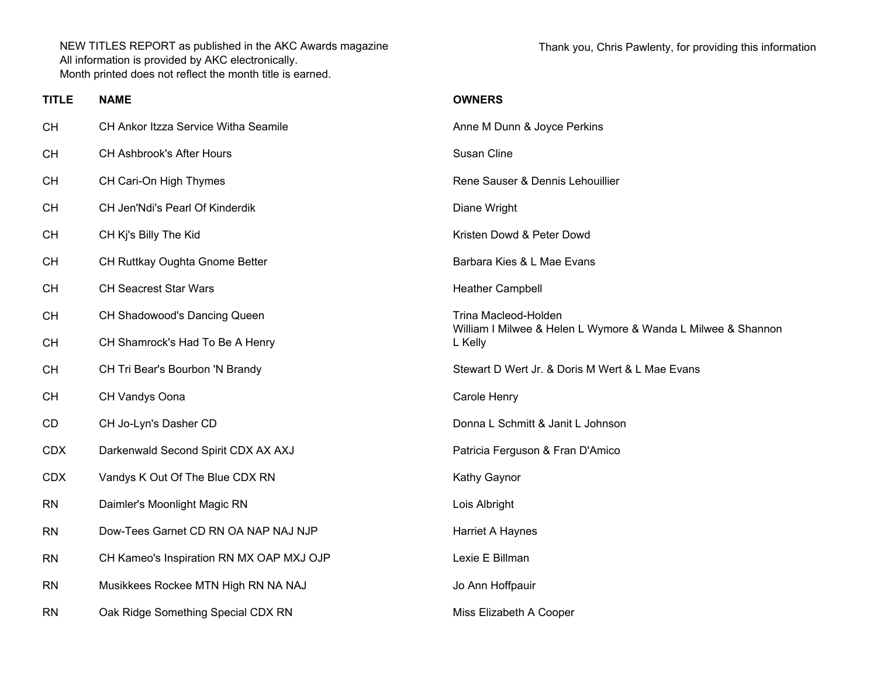Thank you, Chris Pawlenty, for providing this information

| <b>TITLE</b> | <b>NAME</b>                              | <b>OWNERS</b>                                                                        |
|--------------|------------------------------------------|--------------------------------------------------------------------------------------|
| <b>CH</b>    | CH Ankor Itzza Service Witha Seamile     | Anne M Dunn & Joyce Perkins                                                          |
| CH           | CH Ashbrook's After Hours                | Susan Cline                                                                          |
| <b>CH</b>    | CH Cari-On High Thymes                   | Rene Sauser & Dennis Lehouillier                                                     |
| <b>CH</b>    | CH Jen'Ndi's Pearl Of Kinderdik          | Diane Wright                                                                         |
| <b>CH</b>    | CH Kj's Billy The Kid                    | Kristen Dowd & Peter Dowd                                                            |
| <b>CH</b>    | CH Ruttkay Oughta Gnome Better           | Barbara Kies & L Mae Evans                                                           |
| <b>CH</b>    | <b>CH Seacrest Star Wars</b>             | <b>Heather Campbell</b>                                                              |
| CH           | CH Shadowood's Dancing Queen             | Trina Macleod-Holden<br>William I Milwee & Helen L Wymore & Wanda L Milwee & Shannon |
| <b>CH</b>    | CH Shamrock's Had To Be A Henry          | L Kelly                                                                              |
| <b>CH</b>    | CH Tri Bear's Bourbon 'N Brandy          | Stewart D Wert Jr. & Doris M Wert & L Mae Evans                                      |
| <b>CH</b>    | CH Vandys Oona                           | Carole Henry                                                                         |
| CD           | CH Jo-Lyn's Dasher CD                    | Donna L Schmitt & Janit L Johnson                                                    |
| <b>CDX</b>   | Darkenwald Second Spirit CDX AX AXJ      | Patricia Ferguson & Fran D'Amico                                                     |
| <b>CDX</b>   | Vandys K Out Of The Blue CDX RN          | Kathy Gaynor                                                                         |
| <b>RN</b>    | Daimler's Moonlight Magic RN             | Lois Albright                                                                        |
| <b>RN</b>    | Dow-Tees Garnet CD RN OA NAP NAJ NJP     | Harriet A Haynes                                                                     |
| <b>RN</b>    | CH Kameo's Inspiration RN MX OAP MXJ OJP | Lexie E Billman                                                                      |
| <b>RN</b>    | Musikkees Rockee MTN High RN NA NAJ      | Jo Ann Hoffpauir                                                                     |
| <b>RN</b>    | Oak Ridge Something Special CDX RN       | Miss Elizabeth A Cooper                                                              |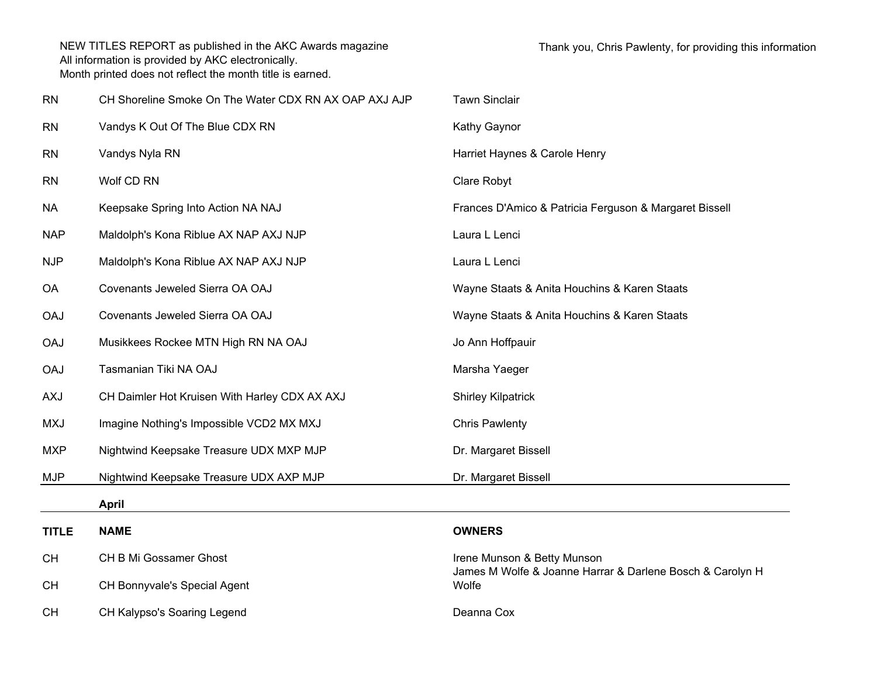| <b>RN</b>    | CH Shoreline Smoke On The Water CDX RN AX OAP AXJ AJP | <b>Tawn Sinclair</b>                                               |
|--------------|-------------------------------------------------------|--------------------------------------------------------------------|
| <b>RN</b>    | Vandys K Out Of The Blue CDX RN                       | Kathy Gaynor                                                       |
| <b>RN</b>    | Vandys Nyla RN                                        | Harriet Haynes & Carole Henry                                      |
| <b>RN</b>    | Wolf CD RN                                            | Clare Robyt                                                        |
| <b>NA</b>    | Keepsake Spring Into Action NA NAJ                    | Frances D'Amico & Patricia Ferguson & Margaret Bissell             |
| <b>NAP</b>   | Maldolph's Kona Riblue AX NAP AXJ NJP                 | Laura L Lenci                                                      |
| <b>NJP</b>   | Maldolph's Kona Riblue AX NAP AXJ NJP                 | Laura L Lenci                                                      |
| <b>OA</b>    | Covenants Jeweled Sierra OA OAJ                       | Wayne Staats & Anita Houchins & Karen Staats                       |
| <b>OAJ</b>   | Covenants Jeweled Sierra OA OAJ                       | Wayne Staats & Anita Houchins & Karen Staats                       |
| <b>OAJ</b>   | Musikkees Rockee MTN High RN NA OAJ                   | Jo Ann Hoffpauir                                                   |
| <b>OAJ</b>   | Tasmanian Tiki NA OAJ                                 | Marsha Yaeger                                                      |
| <b>AXJ</b>   | CH Daimler Hot Kruisen With Harley CDX AX AXJ         | <b>Shirley Kilpatrick</b>                                          |
| <b>MXJ</b>   | Imagine Nothing's Impossible VCD2 MX MXJ              | <b>Chris Pawlenty</b>                                              |
| <b>MXP</b>   | Nightwind Keepsake Treasure UDX MXP MJP               | Dr. Margaret Bissell                                               |
| <b>MJP</b>   | Nightwind Keepsake Treasure UDX AXP MJP               | Dr. Margaret Bissell                                               |
|              | <b>April</b>                                          |                                                                    |
| <b>TITLE</b> | <b>NAME</b>                                           | <b>OWNERS</b>                                                      |
| <b>CH</b>    | CH B Mi Gossamer Ghost                                | Irene Munson & Betty Munson                                        |
| <b>CH</b>    | CH Bonnyvale's Special Agent                          | James M Wolfe & Joanne Harrar & Darlene Bosch & Carolyn H<br>Wolfe |
| <b>CH</b>    | CH Kalypso's Soaring Legend                           | Deanna Cox                                                         |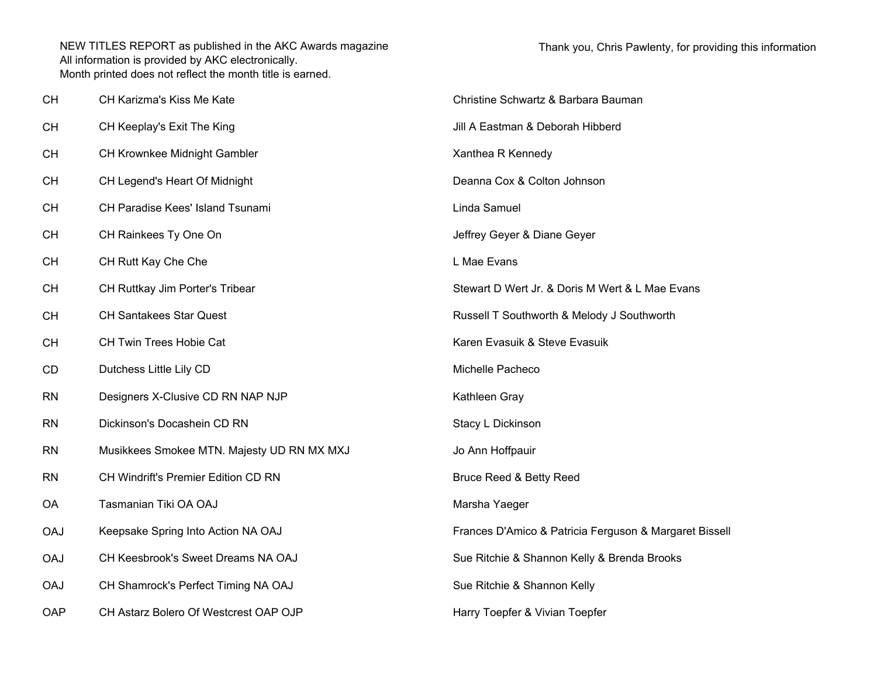| CН         | CH Karizma's Kiss Me Kate                  | Christine Schwartz & Barbara Bauman                    |
|------------|--------------------------------------------|--------------------------------------------------------|
| CН         | CH Keeplay's Exit The King                 | Jill A Eastman & Deborah Hibberd                       |
| CН         | CH Krownkee Midnight Gambler               | Xanthea R Kennedy                                      |
| CН         | CH Legend's Heart Of Midnight              | Deanna Cox & Colton Johnson                            |
| CН         | CH Paradise Kees' Island Tsunami           | Linda Samuel                                           |
| CН         | CH Rainkees Ty One On                      | Jeffrey Geyer & Diane Geyer                            |
| CН         | CH Rutt Kay Che Che                        | L Mae Evans                                            |
| CН         | CH Ruttkay Jim Porter's Tribear            | Stewart D Wert Jr. & Doris M Wert & L Mae Evans        |
| CН         | <b>CH Santakees Star Quest</b>             | Russell T Southworth & Melody J Southworth             |
| CН         | CH Twin Trees Hobie Cat                    | Karen Evasuik & Steve Evasuik                          |
| CD         | Dutchess Little Lily CD                    | Michelle Pacheco                                       |
| RN         | Designers X-Clusive CD RN NAP NJP          | Kathleen Gray                                          |
| RN         | Dickinson's Docashein CD RN                | Stacy L Dickinson                                      |
| RN         | Musikkees Smokee MTN. Majesty UD RN MX MXJ | Jo Ann Hoffpauir                                       |
| RN         | CH Windrift's Premier Edition CD RN        | <b>Bruce Reed &amp; Betty Reed</b>                     |
| ОA         | Tasmanian Tiki OA OAJ                      | Marsha Yaeger                                          |
| <b>DAO</b> | Keepsake Spring Into Action NA OAJ         | Frances D'Amico & Patricia Ferguson & Margaret Bissell |
| <b>CAO</b> | CH Keesbrook's Sweet Dreams NA OAJ         | Sue Ritchie & Shannon Kelly & Brenda Brooks            |
| UAO        | CH Shamrock's Perfect Timing NA OAJ        | Sue Ritchie & Shannon Kelly                            |
| OAP        | CH Astarz Bolero Of Westcrest OAP OJP      | Harry Toepfer & Vivian Toepfer                         |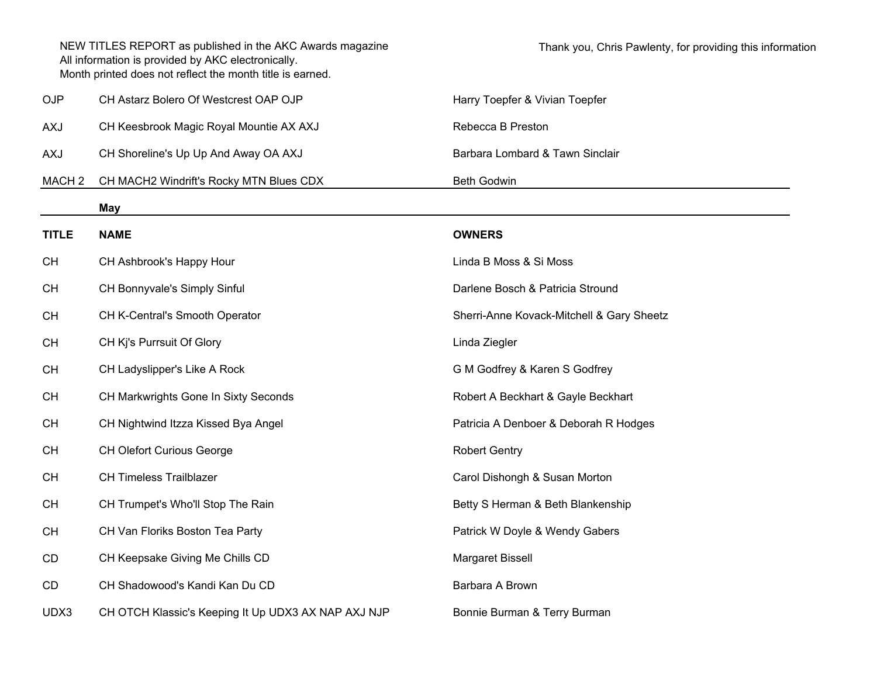|                   | NEW TITLES REPORT as published in the AKC Awards magazine<br>All information is provided by AKC electronically.<br>Month printed does not reflect the month title is earned. | Thank you, Chris Pawlenty, for providing this information |
|-------------------|------------------------------------------------------------------------------------------------------------------------------------------------------------------------------|-----------------------------------------------------------|
| <b>OJP</b>        | CH Astarz Bolero Of Westcrest OAP OJP                                                                                                                                        | Harry Toepfer & Vivian Toepfer                            |
| AXJ               | CH Keesbrook Magic Royal Mountie AX AXJ                                                                                                                                      | Rebecca B Preston                                         |
| AXJ               | CH Shoreline's Up Up And Away OA AXJ                                                                                                                                         | Barbara Lombard & Tawn Sinclair                           |
| MACH <sub>2</sub> | CH MACH2 Windrift's Rocky MTN Blues CDX                                                                                                                                      | <b>Beth Godwin</b>                                        |
|                   | May                                                                                                                                                                          |                                                           |
| <b>TITLE</b>      | <b>NAME</b>                                                                                                                                                                  | <b>OWNERS</b>                                             |
| <b>CH</b>         | CH Ashbrook's Happy Hour                                                                                                                                                     | Linda B Moss & Si Moss                                    |
| <b>CH</b>         | CH Bonnyvale's Simply Sinful                                                                                                                                                 | Darlene Bosch & Patricia Stround                          |
| <b>CH</b>         | CH K-Central's Smooth Operator                                                                                                                                               | Sherri-Anne Kovack-Mitchell & Gary Sheetz                 |
| <b>CH</b>         | CH Kj's Purrsuit Of Glory                                                                                                                                                    | Linda Ziegler                                             |
| <b>CH</b>         | CH Ladyslipper's Like A Rock                                                                                                                                                 | G M Godfrey & Karen S Godfrey                             |
| <b>CH</b>         | CH Markwrights Gone In Sixty Seconds                                                                                                                                         | Robert A Beckhart & Gayle Beckhart                        |
| <b>CH</b>         | CH Nightwind Itzza Kissed Bya Angel                                                                                                                                          | Patricia A Denboer & Deborah R Hodges                     |
| <b>CH</b>         | <b>CH Olefort Curious George</b>                                                                                                                                             | <b>Robert Gentry</b>                                      |
| <b>CH</b>         | <b>CH Timeless Trailblazer</b>                                                                                                                                               | Carol Dishongh & Susan Morton                             |
| <b>CH</b>         | CH Trumpet's Who'll Stop The Rain                                                                                                                                            | Betty S Herman & Beth Blankenship                         |
| <b>CH</b>         | CH Van Floriks Boston Tea Party                                                                                                                                              | Patrick W Doyle & Wendy Gabers                            |
| CD                | CH Keepsake Giving Me Chills CD                                                                                                                                              | Margaret Bissell                                          |
| CD                | CH Shadowood's Kandi Kan Du CD                                                                                                                                               | Barbara A Brown                                           |
| UDX3              | CH OTCH Klassic's Keeping It Up UDX3 AX NAP AXJ NJP                                                                                                                          | Bonnie Burman & Terry Burman                              |
|                   |                                                                                                                                                                              |                                                           |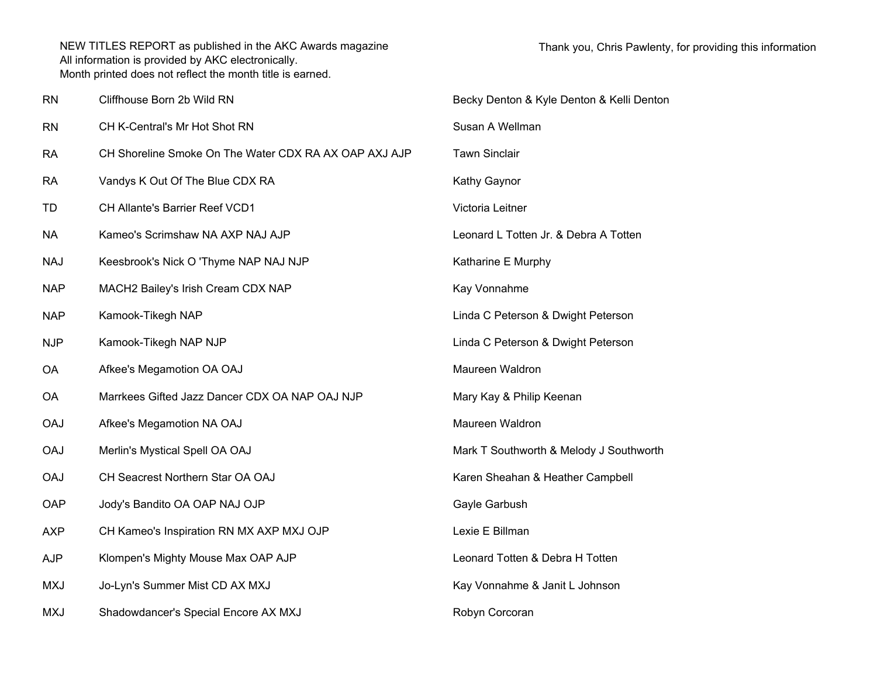| <b>RN</b>  | Cliffhouse Born 2b Wild RN                            | Becky Denton & Kyle Denton & Kelli Denton |
|------------|-------------------------------------------------------|-------------------------------------------|
| <b>RN</b>  | CH K-Central's Mr Hot Shot RN                         | Susan A Wellman                           |
| <b>RA</b>  | CH Shoreline Smoke On The Water CDX RA AX OAP AXJ AJP | <b>Tawn Sinclair</b>                      |
| <b>RA</b>  | Vandys K Out Of The Blue CDX RA                       | Kathy Gaynor                              |
| TD         | CH Allante's Barrier Reef VCD1                        | Victoria Leitner                          |
| <b>NA</b>  | Kameo's Scrimshaw NA AXP NAJ AJP                      | Leonard L Totten Jr. & Debra A Totten     |
| <b>NAJ</b> | Keesbrook's Nick O 'Thyme NAP NAJ NJP                 | Katharine E Murphy                        |
| <b>NAP</b> | MACH2 Bailey's Irish Cream CDX NAP                    | Kay Vonnahme                              |
| <b>NAP</b> | Kamook-Tikegh NAP                                     | Linda C Peterson & Dwight Peterson        |
| <b>NJP</b> | Kamook-Tikegh NAP NJP                                 | Linda C Peterson & Dwight Peterson        |
| <b>OA</b>  | Afkee's Megamotion OA OAJ                             | Maureen Waldron                           |
| <b>OA</b>  | Marrkees Gifted Jazz Dancer CDX OA NAP OAJ NJP        | Mary Kay & Philip Keenan                  |
| <b>OAJ</b> | Afkee's Megamotion NA OAJ                             | Maureen Waldron                           |
| <b>OAJ</b> | Merlin's Mystical Spell OA OAJ                        | Mark T Southworth & Melody J Southworth   |
| <b>OAJ</b> | CH Seacrest Northern Star OA OAJ                      | Karen Sheahan & Heather Campbell          |
| OAP        | Jody's Bandito OA OAP NAJ OJP                         | Gayle Garbush                             |
| <b>AXP</b> | CH Kameo's Inspiration RN MX AXP MXJ OJP              | Lexie E Billman                           |
| <b>AJP</b> | Klompen's Mighty Mouse Max OAP AJP                    | Leonard Totten & Debra H Totten           |
| <b>MXJ</b> | Jo-Lyn's Summer Mist CD AX MXJ                        | Kay Vonnahme & Janit L Johnson            |
| <b>MXJ</b> | Shadowdancer's Special Encore AX MXJ                  | Robyn Corcoran                            |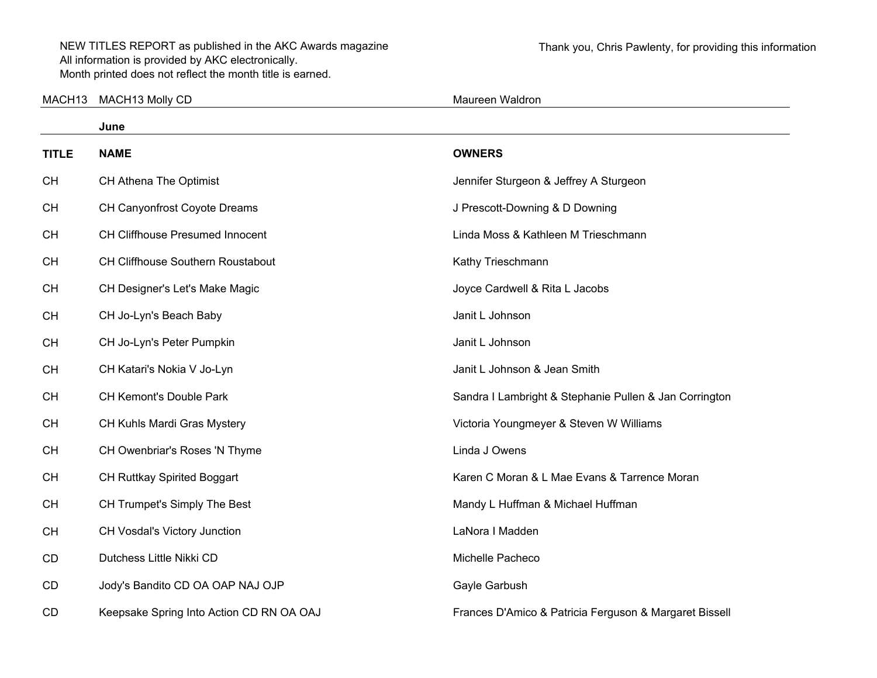| MACH <sub>13</sub> | MACH13 Molly CD                          | Maureen Waldron                                        |
|--------------------|------------------------------------------|--------------------------------------------------------|
|                    | June                                     |                                                        |
| <b>TITLE</b>       | <b>NAME</b>                              | <b>OWNERS</b>                                          |
| <b>CH</b>          | <b>CH Athena The Optimist</b>            | Jennifer Sturgeon & Jeffrey A Sturgeon                 |
| <b>CH</b>          | CH Canyonfrost Coyote Dreams             | J Prescott-Downing & D Downing                         |
| <b>CH</b>          | <b>CH Cliffhouse Presumed Innocent</b>   | Linda Moss & Kathleen M Trieschmann                    |
| <b>CH</b>          | <b>CH Cliffhouse Southern Roustabout</b> | Kathy Trieschmann                                      |
| <b>CH</b>          | CH Designer's Let's Make Magic           | Joyce Cardwell & Rita L Jacobs                         |
| <b>CH</b>          | CH Jo-Lyn's Beach Baby                   | Janit L Johnson                                        |
| <b>CH</b>          | CH Jo-Lyn's Peter Pumpkin                | Janit L Johnson                                        |
| <b>CH</b>          | CH Katari's Nokia V Jo-Lyn               | Janit L Johnson & Jean Smith                           |
| <b>CH</b>          | CH Kemont's Double Park                  | Sandra I Lambright & Stephanie Pullen & Jan Corrington |
| <b>CH</b>          | CH Kuhls Mardi Gras Mystery              | Victoria Youngmeyer & Steven W Williams                |
| <b>CH</b>          | CH Owenbriar's Roses 'N Thyme            | Linda J Owens                                          |
| <b>CH</b>          | CH Ruttkay Spirited Boggart              | Karen C Moran & L Mae Evans & Tarrence Moran           |
| <b>CH</b>          | CH Trumpet's Simply The Best             | Mandy L Huffman & Michael Huffman                      |
| <b>CH</b>          | CH Vosdal's Victory Junction             | LaNora I Madden                                        |
| CD                 | Dutchess Little Nikki CD                 | Michelle Pacheco                                       |
| CD                 | Jody's Bandito CD OA OAP NAJ OJP         | Gayle Garbush                                          |
| CD                 | Keepsake Spring Into Action CD RN OA OAJ | Frances D'Amico & Patricia Ferguson & Margaret Bissell |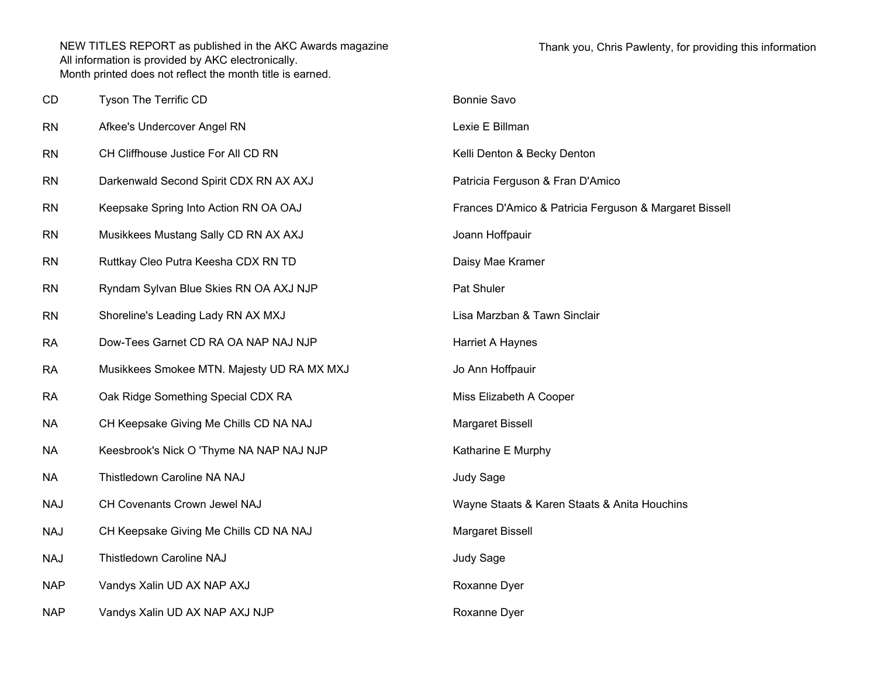| CD         | Tyson The Terrific CD                      | <b>Bonnie Savo</b>                                     |
|------------|--------------------------------------------|--------------------------------------------------------|
| <b>RN</b>  | Afkee's Undercover Angel RN                | Lexie E Billman                                        |
| <b>RN</b>  | CH Cliffhouse Justice For All CD RN        | Kelli Denton & Becky Denton                            |
| <b>RN</b>  | Darkenwald Second Spirit CDX RN AX AXJ     | Patricia Ferguson & Fran D'Amico                       |
| <b>RN</b>  | Keepsake Spring Into Action RN OA OAJ      | Frances D'Amico & Patricia Ferguson & Margaret Bissell |
| <b>RN</b>  | Musikkees Mustang Sally CD RN AX AXJ       | Joann Hoffpauir                                        |
| <b>RN</b>  | Ruttkay Cleo Putra Keesha CDX RN TD        | Daisy Mae Kramer                                       |
| <b>RN</b>  | Ryndam Sylvan Blue Skies RN OA AXJ NJP     | Pat Shuler                                             |
| <b>RN</b>  | Shoreline's Leading Lady RN AX MXJ         | Lisa Marzban & Tawn Sinclair                           |
| <b>RA</b>  | Dow-Tees Garnet CD RA OA NAP NAJ NJP       | Harriet A Haynes                                       |
| <b>RA</b>  | Musikkees Smokee MTN. Majesty UD RA MX MXJ | Jo Ann Hoffpauir                                       |
| <b>RA</b>  | Oak Ridge Something Special CDX RA         | Miss Elizabeth A Cooper                                |
| <b>NA</b>  | CH Keepsake Giving Me Chills CD NA NAJ     | Margaret Bissell                                       |
| <b>NA</b>  | Keesbrook's Nick O 'Thyme NA NAP NAJ NJP   | Katharine E Murphy                                     |
| <b>NA</b>  | Thistledown Caroline NA NAJ                | Judy Sage                                              |
| <b>NAJ</b> | CH Covenants Crown Jewel NAJ               | Wayne Staats & Karen Staats & Anita Houchins           |
| <b>NAJ</b> | CH Keepsake Giving Me Chills CD NA NAJ     | Margaret Bissell                                       |
| <b>NAJ</b> | Thistledown Caroline NAJ                   | Judy Sage                                              |
| <b>NAP</b> | Vandys Xalin UD AX NAP AXJ                 | Roxanne Dyer                                           |
| <b>NAP</b> | Vandys Xalin UD AX NAP AXJ NJP             | Roxanne Dyer                                           |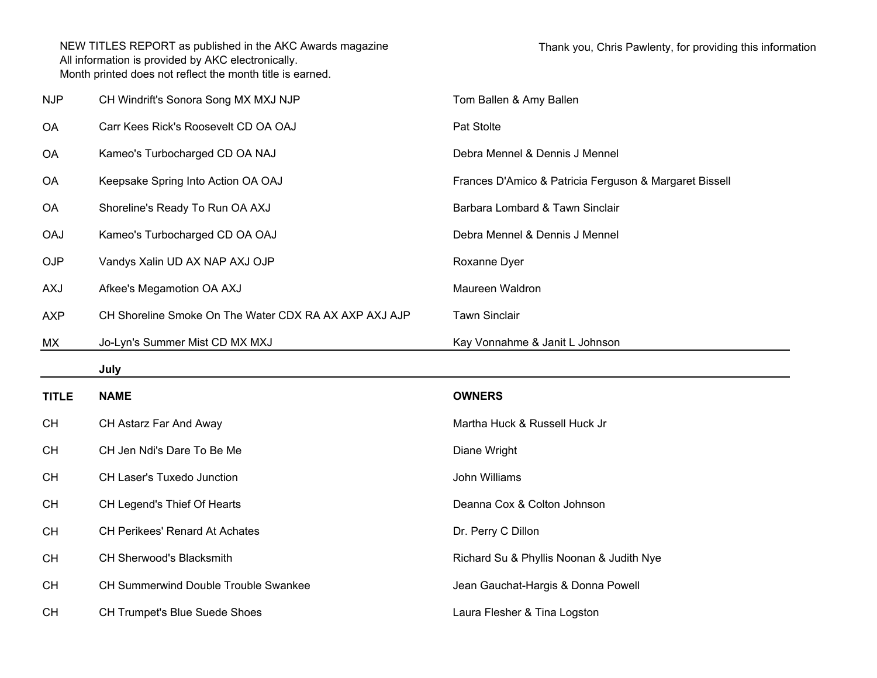| <b>NJP</b>   | CH Windrift's Sonora Song MX MXJ NJP                  | Tom Ballen & Amy Ballen                                |
|--------------|-------------------------------------------------------|--------------------------------------------------------|
| <b>OA</b>    | Carr Kees Rick's Roosevelt CD OA OAJ                  | Pat Stolte                                             |
| <b>OA</b>    | Kameo's Turbocharged CD OA NAJ                        | Debra Mennel & Dennis J Mennel                         |
| <b>OA</b>    | Keepsake Spring Into Action OA OAJ                    | Frances D'Amico & Patricia Ferguson & Margaret Bissell |
| OA           | Shoreline's Ready To Run OA AXJ                       | Barbara Lombard & Tawn Sinclair                        |
| <b>OAJ</b>   | Kameo's Turbocharged CD OA OAJ                        | Debra Mennel & Dennis J Mennel                         |
| <b>OJP</b>   | Vandys Xalin UD AX NAP AXJ OJP                        | Roxanne Dyer                                           |
| <b>LXA</b>   | Afkee's Megamotion OA AXJ                             | Maureen Waldron                                        |
| <b>AXP</b>   | CH Shoreline Smoke On The Water CDX RA AX AXP AXJ AJP | <b>Tawn Sinclair</b>                                   |
| МX           | Jo-Lyn's Summer Mist CD MX MXJ                        | Kay Vonnahme & Janit L Johnson                         |
|              |                                                       |                                                        |
|              | July                                                  |                                                        |
| <b>TITLE</b> | <b>NAME</b>                                           | <b>OWNERS</b>                                          |
| <b>CH</b>    | CH Astarz Far And Away                                | Martha Huck & Russell Huck Jr                          |
| <b>CH</b>    | CH Jen Ndi's Dare To Be Me                            | Diane Wright                                           |
| <b>CH</b>    | CH Laser's Tuxedo Junction                            | John Williams                                          |
| <b>CH</b>    | CH Legend's Thief Of Hearts                           | Deanna Cox & Colton Johnson                            |
| <b>CH</b>    | CH Perikees' Renard At Achates                        | Dr. Perry C Dillon                                     |
| <b>CH</b>    | CH Sherwood's Blacksmith                              | Richard Su & Phyllis Noonan & Judith Nye               |
| <b>CH</b>    | CH Summerwind Double Trouble Swankee                  | Jean Gauchat-Hargis & Donna Powell                     |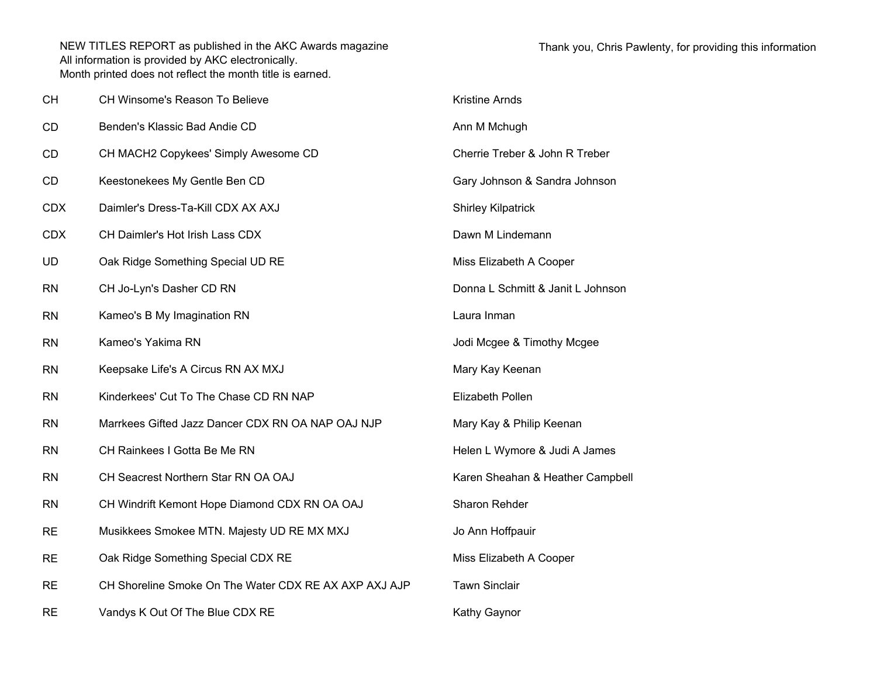| <b>CH</b>  | CH Winsome's Reason To Believe                        | <b>Kristine Arnds</b>             |
|------------|-------------------------------------------------------|-----------------------------------|
| CD         | Benden's Klassic Bad Andie CD                         | Ann M Mchugh                      |
| CD         | CH MACH2 Copykees' Simply Awesome CD                  | Cherrie Treber & John R Treber    |
| CD         | Keestonekees My Gentle Ben CD                         | Gary Johnson & Sandra Johnson     |
| <b>CDX</b> | Daimler's Dress-Ta-Kill CDX AX AXJ                    | <b>Shirley Kilpatrick</b>         |
| <b>CDX</b> | CH Daimler's Hot Irish Lass CDX                       | Dawn M Lindemann                  |
| <b>UD</b>  | Oak Ridge Something Special UD RE                     | Miss Elizabeth A Cooper           |
| <b>RN</b>  | CH Jo-Lyn's Dasher CD RN                              | Donna L Schmitt & Janit L Johnson |
| <b>RN</b>  | Kameo's B My Imagination RN                           | Laura Inman                       |
| <b>RN</b>  | Kameo's Yakima RN                                     | Jodi Mcgee & Timothy Mcgee        |
| <b>RN</b>  | Keepsake Life's A Circus RN AX MXJ                    | Mary Kay Keenan                   |
| <b>RN</b>  | Kinderkees' Cut To The Chase CD RN NAP                | Elizabeth Pollen                  |
| <b>RN</b>  | Marrkees Gifted Jazz Dancer CDX RN OA NAP OAJ NJP     | Mary Kay & Philip Keenan          |
| <b>RN</b>  | CH Rainkees I Gotta Be Me RN                          | Helen L Wymore & Judi A James     |
| <b>RN</b>  | CH Seacrest Northern Star RN OA OAJ                   | Karen Sheahan & Heather Campbell  |
| <b>RN</b>  | CH Windrift Kemont Hope Diamond CDX RN OA OAJ         | Sharon Rehder                     |
| <b>RE</b>  | Musikkees Smokee MTN. Majesty UD RE MX MXJ            | Jo Ann Hoffpauir                  |
| <b>RE</b>  | Oak Ridge Something Special CDX RE                    | Miss Elizabeth A Cooper           |
| <b>RE</b>  | CH Shoreline Smoke On The Water CDX RE AX AXP AXJ AJP | <b>Tawn Sinclair</b>              |
| <b>RE</b>  | Vandys K Out Of The Blue CDX RE                       | Kathy Gaynor                      |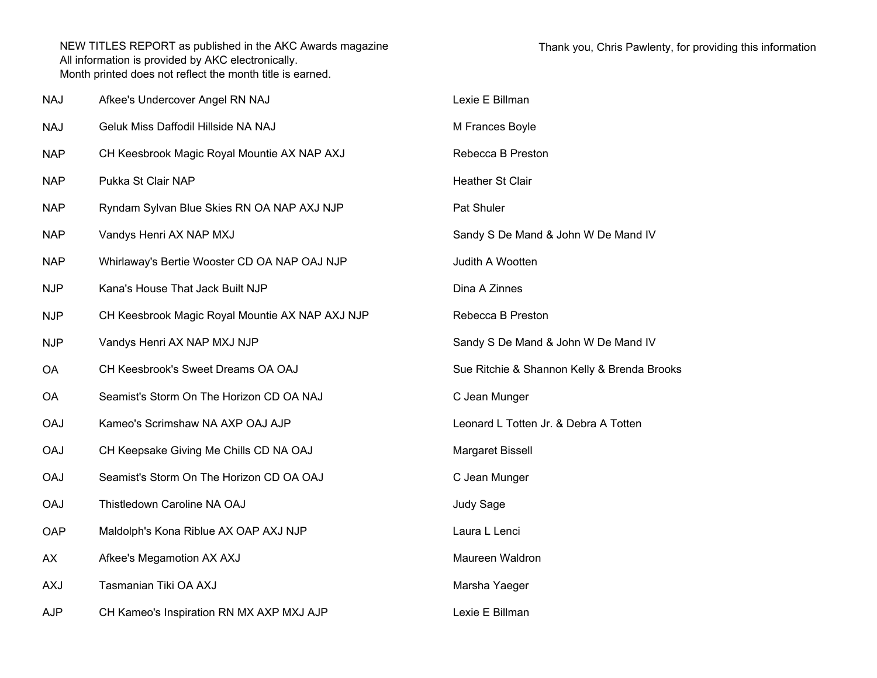| <b>NAJ</b> | Afkee's Undercover Angel RN NAJ                 | Lexie E Billman                             |
|------------|-------------------------------------------------|---------------------------------------------|
| <b>NAJ</b> | Geluk Miss Daffodil Hillside NA NAJ             | M Frances Boyle                             |
| <b>NAP</b> | CH Keesbrook Magic Royal Mountie AX NAP AXJ     | Rebecca B Preston                           |
| <b>NAP</b> | Pukka St Clair NAP                              | <b>Heather St Clair</b>                     |
| <b>NAP</b> | Ryndam Sylvan Blue Skies RN OA NAP AXJ NJP      | Pat Shuler                                  |
| <b>NAP</b> | Vandys Henri AX NAP MXJ                         | Sandy S De Mand & John W De Mand IV         |
| <b>NAP</b> | Whirlaway's Bertie Wooster CD OA NAP OAJ NJP    | Judith A Wootten                            |
| <b>NJP</b> | Kana's House That Jack Built NJP                | Dina A Zinnes                               |
| <b>NJP</b> | CH Keesbrook Magic Royal Mountie AX NAP AXJ NJP | Rebecca B Preston                           |
| <b>NJP</b> | Vandys Henri AX NAP MXJ NJP                     | Sandy S De Mand & John W De Mand IV         |
| <b>OA</b>  | CH Keesbrook's Sweet Dreams OA OAJ              | Sue Ritchie & Shannon Kelly & Brenda Brooks |
| <b>OA</b>  | Seamist's Storm On The Horizon CD OA NAJ        | C Jean Munger                               |
| <b>OAJ</b> | Kameo's Scrimshaw NA AXP OAJ AJP                | Leonard L Totten Jr. & Debra A Totten       |
| <b>OAJ</b> | CH Keepsake Giving Me Chills CD NA OAJ          | Margaret Bissell                            |
| <b>OAJ</b> | Seamist's Storm On The Horizon CD OA OAJ        | C Jean Munger                               |
| <b>OAJ</b> | Thistledown Caroline NA OAJ                     | Judy Sage                                   |
| OAP        | Maldolph's Kona Riblue AX OAP AXJ NJP           | Laura L Lenci                               |
| AX         | Afkee's Megamotion AX AXJ                       | Maureen Waldron                             |
| <b>AXJ</b> | Tasmanian Tiki OA AXJ                           | Marsha Yaeger                               |
| <b>AJP</b> | CH Kameo's Inspiration RN MX AXP MXJ AJP        | Lexie E Billman                             |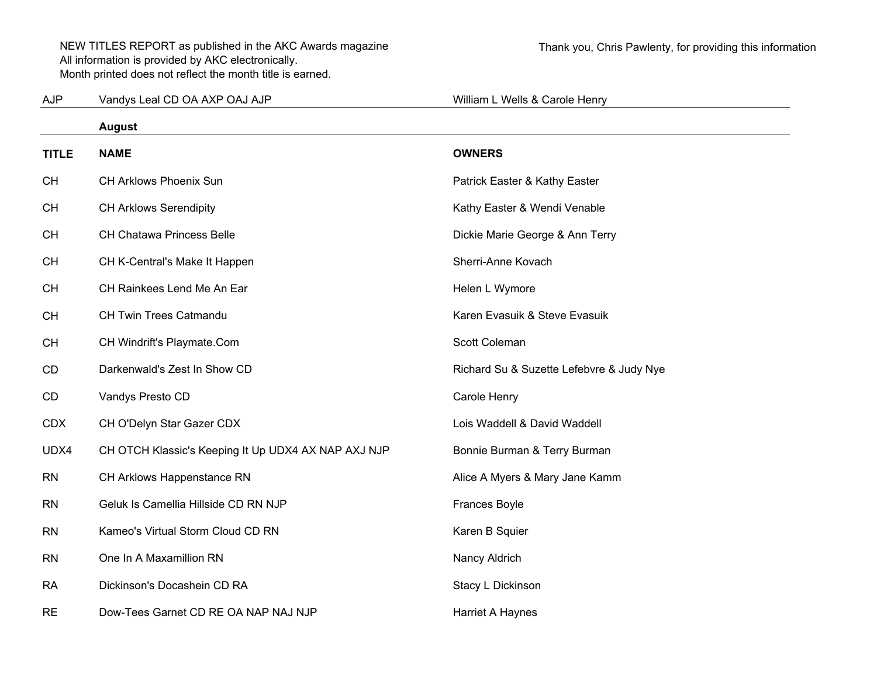AJPVandys Leal CD OA AXP OAJ AJP William L Wells & Carole Henry

|              | August                                              |                                          |
|--------------|-----------------------------------------------------|------------------------------------------|
| <b>TITLE</b> | <b>NAME</b>                                         | <b>OWNERS</b>                            |
| <b>CH</b>    | CH Arklows Phoenix Sun                              | Patrick Easter & Kathy Easter            |
| <b>CH</b>    | <b>CH Arklows Serendipity</b>                       | Kathy Easter & Wendi Venable             |
| <b>CH</b>    | <b>CH Chatawa Princess Belle</b>                    | Dickie Marie George & Ann Terry          |
| <b>CH</b>    | CH K-Central's Make It Happen                       | Sherri-Anne Kovach                       |
| <b>CH</b>    | CH Rainkees Lend Me An Ear                          | Helen L Wymore                           |
| <b>CH</b>    | CH Twin Trees Catmandu                              | Karen Evasuik & Steve Evasuik            |
| <b>CH</b>    | CH Windrift's Playmate.Com                          | Scott Coleman                            |
| CD           | Darkenwald's Zest In Show CD                        | Richard Su & Suzette Lefebvre & Judy Nye |
| CD           | Vandys Presto CD                                    | Carole Henry                             |
| <b>CDX</b>   | CH O'Delyn Star Gazer CDX                           | Lois Waddell & David Waddell             |
| UDX4         | CH OTCH Klassic's Keeping It Up UDX4 AX NAP AXJ NJP | Bonnie Burman & Terry Burman             |
| <b>RN</b>    | CH Arklows Happenstance RN                          | Alice A Myers & Mary Jane Kamm           |
| <b>RN</b>    | Geluk Is Camellia Hillside CD RN NJP                | <b>Frances Boyle</b>                     |
| <b>RN</b>    | Kameo's Virtual Storm Cloud CD RN                   | Karen B Squier                           |
| <b>RN</b>    | One In A Maxamillion RN                             | Nancy Aldrich                            |
| <b>RA</b>    | Dickinson's Docashein CD RA                         | Stacy L Dickinson                        |
| <b>RE</b>    | Dow-Tees Garnet CD RE OA NAP NAJ NJP                | Harriet A Haynes                         |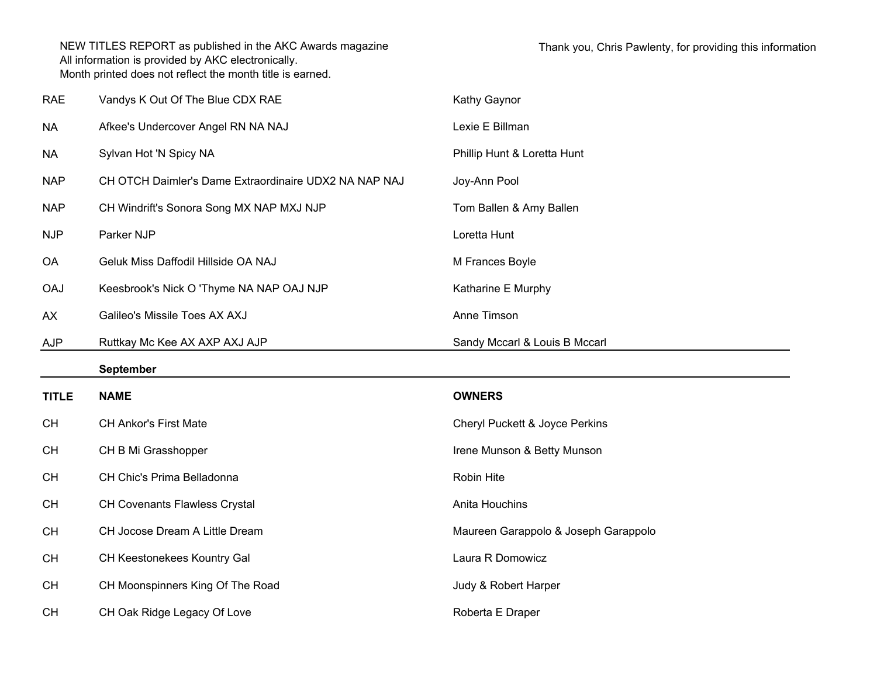| <b>RAE</b>   | Vandys K Out Of The Blue CDX RAE                      | Kathy Gaynor                              |
|--------------|-------------------------------------------------------|-------------------------------------------|
| <b>NA</b>    | Afkee's Undercover Angel RN NA NAJ                    | Lexie E Billman                           |
| <b>NA</b>    | Sylvan Hot 'N Spicy NA                                | Phillip Hunt & Loretta Hunt               |
| <b>NAP</b>   | CH OTCH Daimler's Dame Extraordinaire UDX2 NA NAP NAJ | Joy-Ann Pool                              |
| <b>NAP</b>   | CH Windrift's Sonora Song MX NAP MXJ NJP              | Tom Ballen & Amy Ballen                   |
| <b>NJP</b>   | Parker NJP                                            | Loretta Hunt                              |
| <b>OA</b>    | Geluk Miss Daffodil Hillside OA NAJ                   | M Frances Boyle                           |
| <b>OAJ</b>   | Keesbrook's Nick O 'Thyme NA NAP OAJ NJP              | Katharine E Murphy                        |
| AX           | Galileo's Missile Toes AX AXJ                         | Anne Timson                               |
| <b>AJP</b>   | Ruttkay Mc Kee AX AXP AXJ AJP                         | Sandy Mccarl & Louis B Mccarl             |
|              |                                                       |                                           |
|              | <b>September</b>                                      |                                           |
| <b>TITLE</b> | <b>NAME</b>                                           | <b>OWNERS</b>                             |
| <b>CH</b>    | <b>CH Ankor's First Mate</b>                          | <b>Cheryl Puckett &amp; Joyce Perkins</b> |
| <b>CH</b>    | CH B Mi Grasshopper                                   | Irene Munson & Betty Munson               |
| <b>CH</b>    | CH Chic's Prima Belladonna                            | Robin Hite                                |
| <b>CH</b>    | <b>CH Covenants Flawless Crystal</b>                  | Anita Houchins                            |
| <b>CH</b>    | CH Jocose Dream A Little Dream                        | Maureen Garappolo & Joseph Garappolo      |
| <b>CH</b>    | CH Keestonekees Kountry Gal                           | Laura R Domowicz                          |
| <b>CH</b>    | CH Moonspinners King Of The Road                      | Judy & Robert Harper                      |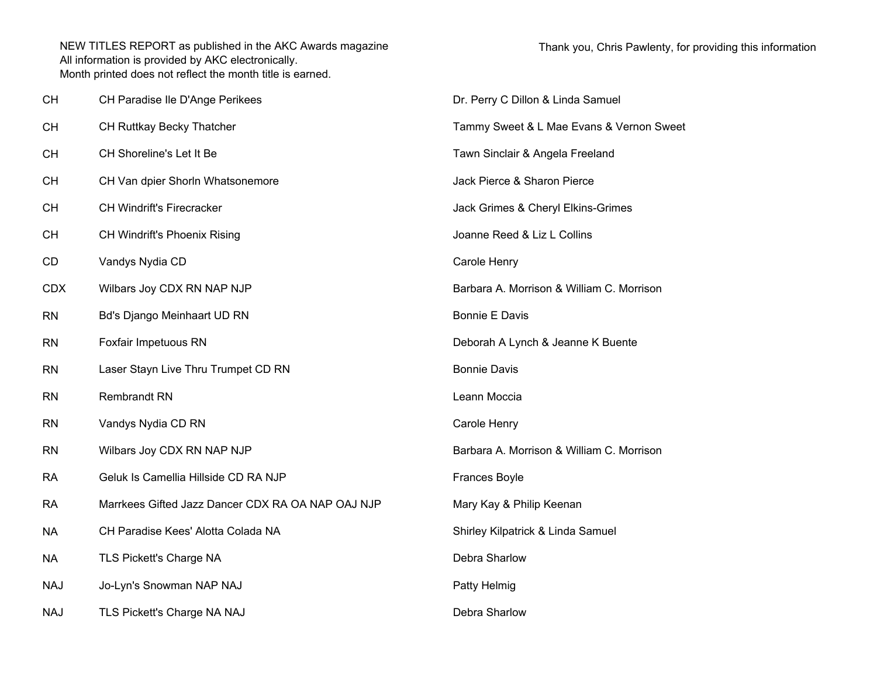| CH         | CH Paradise Ile D'Ange Perikees                   | Dr. Perry C Dillon & Linda Samuel         |
|------------|---------------------------------------------------|-------------------------------------------|
| CН         | CH Ruttkay Becky Thatcher                         | Tammy Sweet & L Mae Evans & Vernon Sweet  |
| CН         | CH Shoreline's Let It Be                          | Tawn Sinclair & Angela Freeland           |
| CН         | CH Van dpier Shorln Whatsonemore                  | Jack Pierce & Sharon Pierce               |
| CН         | <b>CH Windrift's Firecracker</b>                  | Jack Grimes & Cheryl Elkins-Grimes        |
| CН         | CH Windrift's Phoenix Rising                      | Joanne Reed & Liz L Collins               |
| CD         | Vandys Nydia CD                                   | Carole Henry                              |
| <b>CDX</b> | Wilbars Joy CDX RN NAP NJP                        | Barbara A. Morrison & William C. Morrison |
| <b>RN</b>  | Bd's Django Meinhaart UD RN                       | <b>Bonnie E Davis</b>                     |
| RN         | Foxfair Impetuous RN                              | Deborah A Lynch & Jeanne K Buente         |
| <b>RN</b>  | Laser Stayn Live Thru Trumpet CD RN               | <b>Bonnie Davis</b>                       |
| RN         | <b>Rembrandt RN</b>                               | Leann Moccia                              |
| <b>RN</b>  | Vandys Nydia CD RN                                | Carole Henry                              |
| RN         | Wilbars Joy CDX RN NAP NJP                        | Barbara A. Morrison & William C. Morrison |
| RA         | Geluk Is Camellia Hillside CD RA NJP              | <b>Frances Boyle</b>                      |
| RA         | Marrkees Gifted Jazz Dancer CDX RA OA NAP OAJ NJP | Mary Kay & Philip Keenan                  |
| NА         | CH Paradise Kees' Alotta Colada NA                | Shirley Kilpatrick & Linda Samuel         |
| <b>NA</b>  | TLS Pickett's Charge NA                           | Debra Sharlow                             |
| NAJ        | Jo-Lyn's Snowman NAP NAJ                          | Patty Helmig                              |
| <b>NAJ</b> | TLS Pickett's Charge NA NAJ                       | Debra Sharlow                             |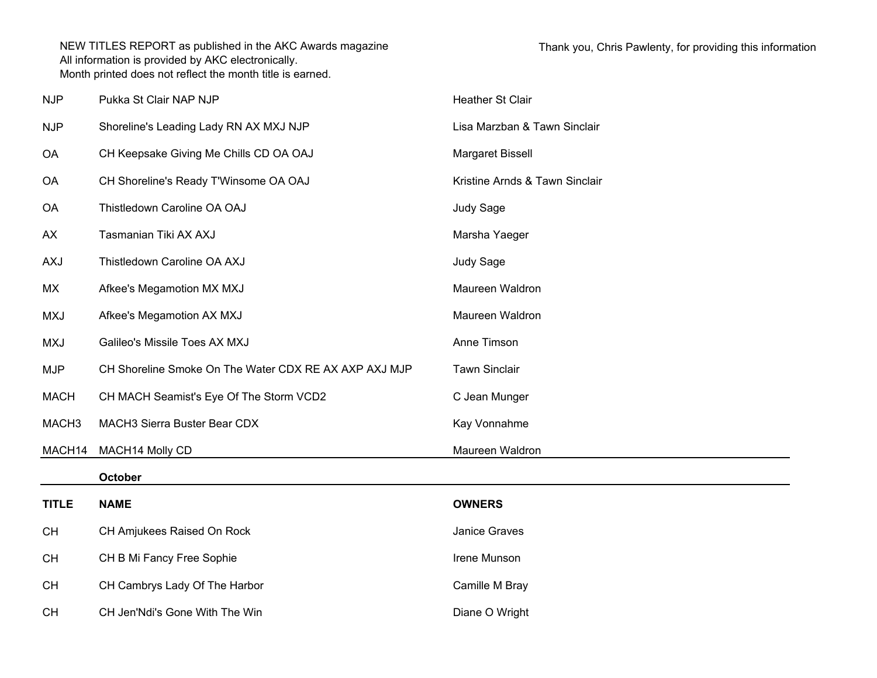| <b>NJP</b>        | Pukka St Clair NAP NJP                                | Heather St Clair               |
|-------------------|-------------------------------------------------------|--------------------------------|
| <b>NJP</b>        | Shoreline's Leading Lady RN AX MXJ NJP                | Lisa Marzban & Tawn Sinclair   |
| <b>OA</b>         | CH Keepsake Giving Me Chills CD OA OAJ                | Margaret Bissell               |
| <b>OA</b>         | CH Shoreline's Ready T'Winsome OA OAJ                 | Kristine Arnds & Tawn Sinclair |
| <b>OA</b>         | Thistledown Caroline OA OAJ                           | Judy Sage                      |
| AX                | Tasmanian Tiki AX AXJ                                 | Marsha Yaeger                  |
| <b>AXJ</b>        | Thistledown Caroline OA AXJ                           | Judy Sage                      |
| MX                | Afkee's Megamotion MX MXJ                             | Maureen Waldron                |
| <b>MXJ</b>        | Afkee's Megamotion AX MXJ                             | Maureen Waldron                |
| <b>MXJ</b>        | Galileo's Missile Toes AX MXJ                         | Anne Timson                    |
| <b>MJP</b>        | CH Shoreline Smoke On The Water CDX RE AX AXP AXJ MJP | <b>Tawn Sinclair</b>           |
| <b>MACH</b>       | CH MACH Seamist's Eye Of The Storm VCD2               | C Jean Munger                  |
| MACH <sub>3</sub> | MACH3 Sierra Buster Bear CDX                          | Kay Vonnahme                   |
| MACH14            | MACH14 Molly CD                                       | Maureen Waldron                |
|                   | <b>October</b>                                        |                                |
| <b>TITLE</b>      | <b>NAME</b>                                           | <b>OWNERS</b>                  |
| <b>CH</b>         | CH Amjukees Raised On Rock                            | Janice Graves                  |
| <b>CH</b>         | CH B Mi Fancy Free Sophie                             | Irene Munson                   |
| <b>CH</b>         | CH Cambrys Lady Of The Harbor                         | Camille M Bray                 |
|                   |                                                       |                                |

CHCH Jen'Ndi's Gone With The Win Diane O Wright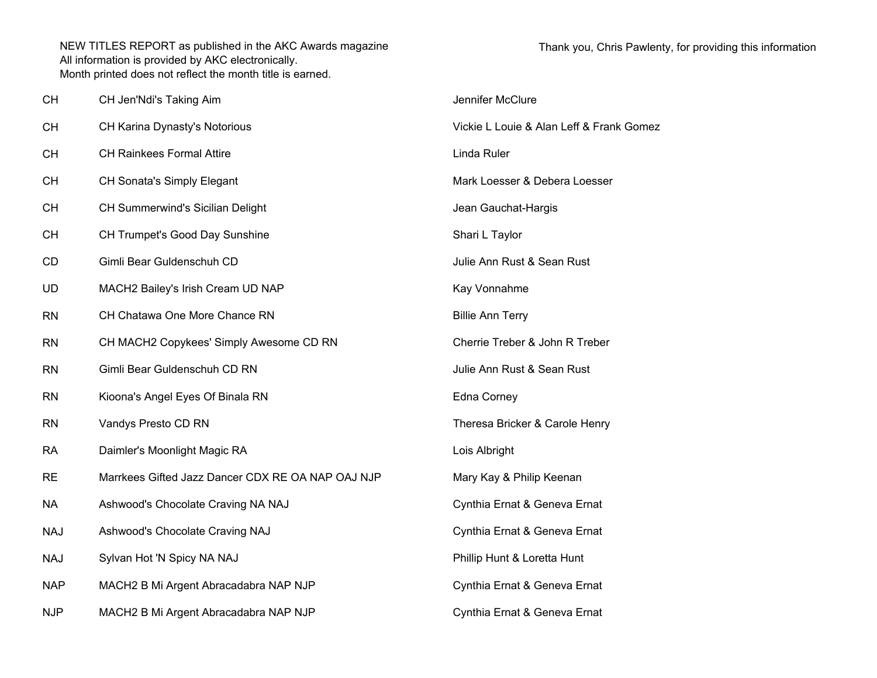| <b>CH</b>  | CH Jen'Ndi's Taking Aim                           | Jennifer McClure                         |
|------------|---------------------------------------------------|------------------------------------------|
| <b>CH</b>  | CH Karina Dynasty's Notorious                     | Vickie L Louie & Alan Leff & Frank Gomez |
| <b>CH</b>  | <b>CH Rainkees Formal Attire</b>                  | Linda Ruler                              |
| <b>CH</b>  | CH Sonata's Simply Elegant                        | Mark Loesser & Debera Loesser            |
| <b>CH</b>  | CH Summerwind's Sicilian Delight                  | Jean Gauchat-Hargis                      |
| <b>CH</b>  | CH Trumpet's Good Day Sunshine                    | Shari L Taylor                           |
| <b>CD</b>  | Gimli Bear Guldenschuh CD                         | Julie Ann Rust & Sean Rust               |
| UD         | MACH2 Bailey's Irish Cream UD NAP                 | Kay Vonnahme                             |
| <b>RN</b>  | CH Chatawa One More Chance RN                     | <b>Billie Ann Terry</b>                  |
| <b>RN</b>  | CH MACH2 Copykees' Simply Awesome CD RN           | Cherrie Treber & John R Treber           |
| <b>RN</b>  | Gimli Bear Guldenschuh CD RN                      | Julie Ann Rust & Sean Rust               |
| <b>RN</b>  | Kioona's Angel Eyes Of Binala RN                  | Edna Corney                              |
| <b>RN</b>  | Vandys Presto CD RN                               | Theresa Bricker & Carole Henry           |
| <b>RA</b>  | Daimler's Moonlight Magic RA                      | Lois Albright                            |
| <b>RE</b>  | Marrkees Gifted Jazz Dancer CDX RE OA NAP OAJ NJP | Mary Kay & Philip Keenan                 |
| <b>NA</b>  | Ashwood's Chocolate Craving NA NAJ                | Cynthia Ernat & Geneva Ernat             |
| <b>NAJ</b> | Ashwood's Chocolate Craving NAJ                   | Cynthia Ernat & Geneva Ernat             |
| <b>NAJ</b> | Sylvan Hot 'N Spicy NA NAJ                        | Phillip Hunt & Loretta Hunt              |
| <b>NAP</b> | MACH2 B Mi Argent Abracadabra NAP NJP             | Cynthia Ernat & Geneva Ernat             |
| <b>NJP</b> | MACH2 B Mi Argent Abracadabra NAP NJP             | Cynthia Ernat & Geneva Ernat             |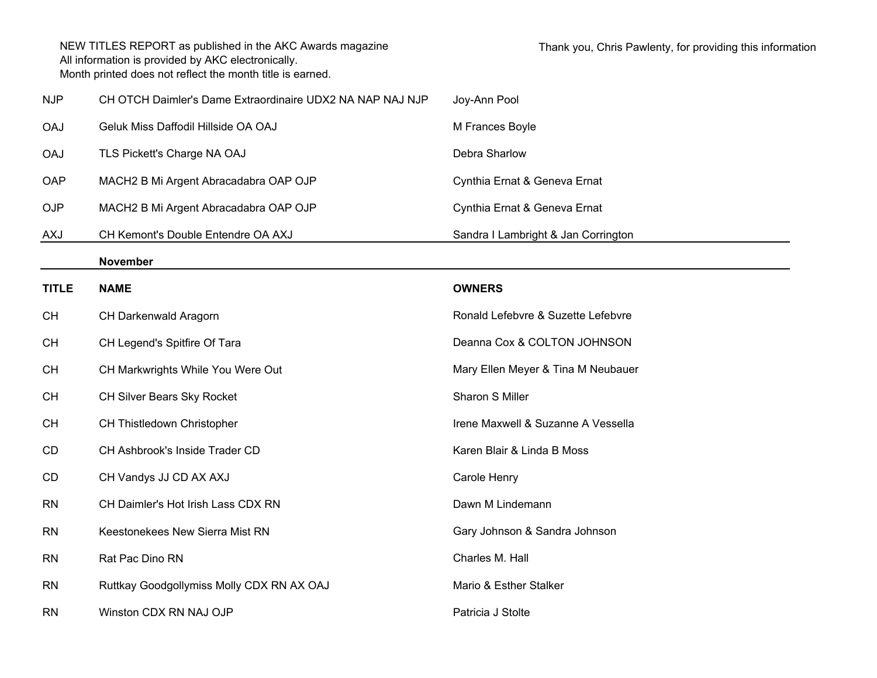| <b>NJP</b> | CH OTCH Daimler's Dame Extraordinaire UDX2 NA NAP NAJ NJP | Joy-Ann Pool                        |
|------------|-----------------------------------------------------------|-------------------------------------|
| <b>OAJ</b> | Geluk Miss Daffodil Hillside OA OAJ                       | M Frances Boyle                     |
| <b>OAJ</b> | TLS Pickett's Charge NA OAJ                               | Debra Sharlow                       |
| <b>OAP</b> | MACH2 B Mi Argent Abracadabra OAP OJP                     | Cynthia Ernat & Geneva Ernat        |
| <b>OJP</b> | MACH2 B Mi Argent Abracadabra OAP OJP                     | Cynthia Ernat & Geneva Ernat        |
| AXJ        | CH Kemont's Double Entendre OA AXJ                        | Sandra I Lambright & Jan Corrington |

## **November**

| <b>TITLE</b> | <b>NAME</b>                               | <b>OWNERS</b>                      |
|--------------|-------------------------------------------|------------------------------------|
| <b>CH</b>    | <b>CH Darkenwald Aragorn</b>              | Ronald Lefebvre & Suzette Lefebvre |
| <b>CH</b>    | CH Legend's Spitfire Of Tara              | Deanna Cox & COLTON JOHNSON        |
| <b>CH</b>    | CH Markwrights While You Were Out         | Mary Ellen Meyer & Tina M Neubauer |
| <b>CH</b>    | CH Silver Bears Sky Rocket                | Sharon S Miller                    |
| <b>CH</b>    | CH Thistledown Christopher                | Irene Maxwell & Suzanne A Vessella |
| CD           | CH Ashbrook's Inside Trader CD            | Karen Blair & Linda B Moss         |
| CD           | CH Vandys JJ CD AX AXJ                    | Carole Henry                       |
| <b>RN</b>    | CH Daimler's Hot Irish Lass CDX RN        | Dawn M Lindemann                   |
| <b>RN</b>    | Keestonekees New Sierra Mist RN           | Gary Johnson & Sandra Johnson      |
| <b>RN</b>    | Rat Pac Dino RN                           | Charles M. Hall                    |
| <b>RN</b>    | Ruttkay Goodgollymiss Molly CDX RN AX OAJ | Mario & Esther Stalker             |
| <b>RN</b>    | Winston CDX RN NAJ OJP                    | Patricia J Stolte                  |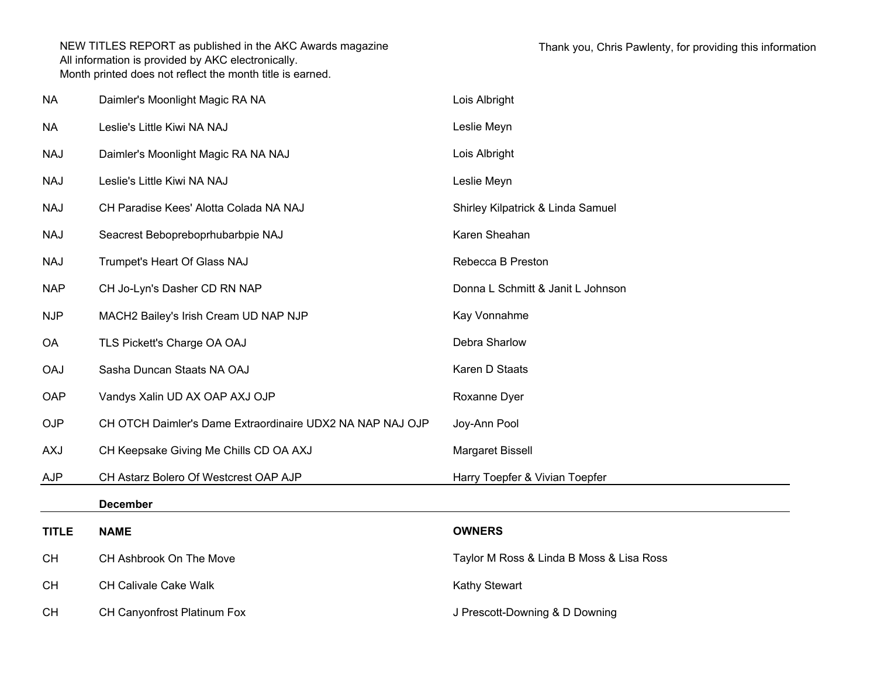| <b>NA</b>    | Daimler's Moonlight Magic RA NA                           | Lois Albright                            |
|--------------|-----------------------------------------------------------|------------------------------------------|
| <b>NA</b>    | Leslie's Little Kiwi NA NAJ                               | Leslie Meyn                              |
| <b>NAJ</b>   | Daimler's Moonlight Magic RA NA NAJ                       | Lois Albright                            |
| <b>NAJ</b>   | Leslie's Little Kiwi NA NAJ                               | Leslie Meyn                              |
| <b>NAJ</b>   | CH Paradise Kees' Alotta Colada NA NAJ                    | Shirley Kilpatrick & Linda Samuel        |
| <b>NAJ</b>   | Seacrest Bebopreboprhubarbpie NAJ                         | Karen Sheahan                            |
| <b>NAJ</b>   | Trumpet's Heart Of Glass NAJ                              | Rebecca B Preston                        |
| <b>NAP</b>   | CH Jo-Lyn's Dasher CD RN NAP                              | Donna L Schmitt & Janit L Johnson        |
| <b>NJP</b>   | MACH2 Bailey's Irish Cream UD NAP NJP                     | Kay Vonnahme                             |
| OA           | TLS Pickett's Charge OA OAJ                               | Debra Sharlow                            |
| <b>OAJ</b>   | Sasha Duncan Staats NA OAJ                                | Karen D Staats                           |
| OAP          | Vandys Xalin UD AX OAP AXJ OJP                            | Roxanne Dyer                             |
| <b>OJP</b>   | CH OTCH Daimler's Dame Extraordinaire UDX2 NA NAP NAJ OJP | Joy-Ann Pool                             |
| <b>AXJ</b>   | CH Keepsake Giving Me Chills CD OA AXJ                    | Margaret Bissell                         |
| <b>AJP</b>   | CH Astarz Bolero Of Westcrest OAP AJP                     | Harry Toepfer & Vivian Toepfer           |
|              | <b>December</b>                                           |                                          |
| <b>TITLE</b> | <b>NAME</b>                                               | <b>OWNERS</b>                            |
| <b>CH</b>    | CH Ashbrook On The Move                                   | Taylor M Ross & Linda B Moss & Lisa Ross |
| CH           | <b>CH Calivale Cake Walk</b>                              | Kathy Stewart                            |
| CН           | <b>CH Canyonfrost Platinum Fox</b>                        | J Prescott-Downing & D Downing           |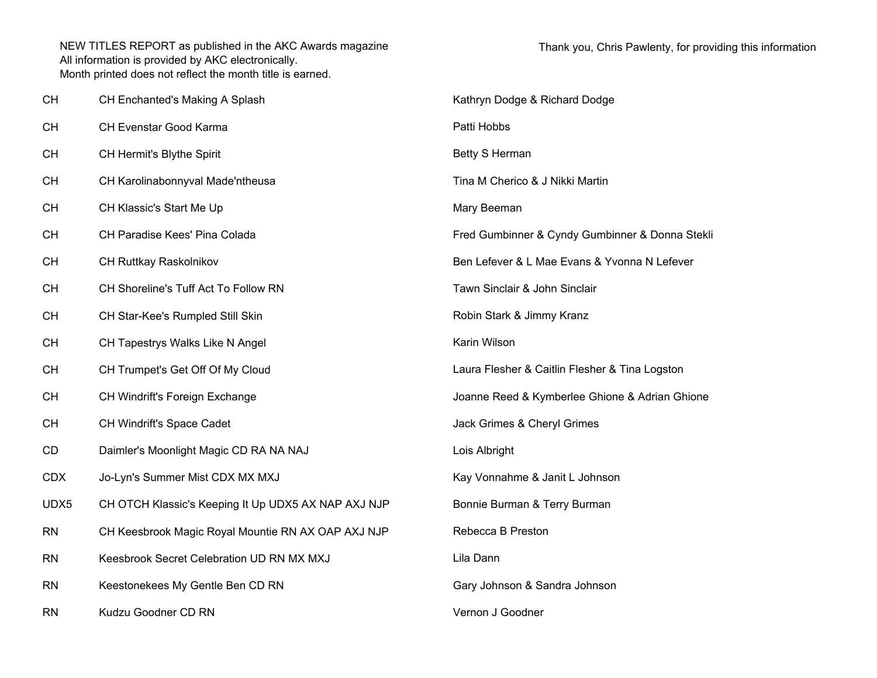| <b>CH</b>  | CH Enchanted's Making A Splash                      | Kathryn Dodge & Richard Dodge                   |
|------------|-----------------------------------------------------|-------------------------------------------------|
| СH         | CH Evenstar Good Karma                              | Patti Hobbs                                     |
| СH         | CH Hermit's Blythe Spirit                           | Betty S Herman                                  |
| CH         | CH Karolinabonnyval Made'ntheusa                    | Tina M Cherico & J Nikki Martin                 |
| <b>CH</b>  | CH Klassic's Start Me Up                            | Mary Beeman                                     |
| <b>CH</b>  | CH Paradise Kees' Pina Colada                       | Fred Gumbinner & Cyndy Gumbinner & Donna Stekli |
| <b>CH</b>  | CH Ruttkay Raskolnikov                              | Ben Lefever & L Mae Evans & Yvonna N Lefever    |
| CH         | CH Shoreline's Tuff Act To Follow RN                | Tawn Sinclair & John Sinclair                   |
| СH         | CH Star-Kee's Rumpled Still Skin                    | Robin Stark & Jimmy Kranz                       |
| <b>CH</b>  | CH Tapestrys Walks Like N Angel                     | Karin Wilson                                    |
| <b>CH</b>  | CH Trumpet's Get Off Of My Cloud                    | Laura Flesher & Caitlin Flesher & Tina Logston  |
| <b>CH</b>  | CH Windrift's Foreign Exchange                      | Joanne Reed & Kymberlee Ghione & Adrian Ghione  |
| <b>CH</b>  | CH Windrift's Space Cadet                           | Jack Grimes & Cheryl Grimes                     |
| CD         | Daimler's Moonlight Magic CD RA NA NAJ              | Lois Albright                                   |
| <b>CDX</b> | Jo-Lyn's Summer Mist CDX MX MXJ                     | Kay Vonnahme & Janit L Johnson                  |
| UDX5       | CH OTCH Klassic's Keeping It Up UDX5 AX NAP AXJ NJP | Bonnie Burman & Terry Burman                    |
| <b>RN</b>  | CH Keesbrook Magic Royal Mountie RN AX OAP AXJ NJP  | Rebecca B Preston                               |
| <b>RN</b>  | Keesbrook Secret Celebration UD RN MX MXJ           | Lila Dann                                       |
| <b>RN</b>  | Keestonekees My Gentle Ben CD RN                    | Gary Johnson & Sandra Johnson                   |
| <b>RN</b>  | Kudzu Goodner CD RN                                 | Vernon J Goodner                                |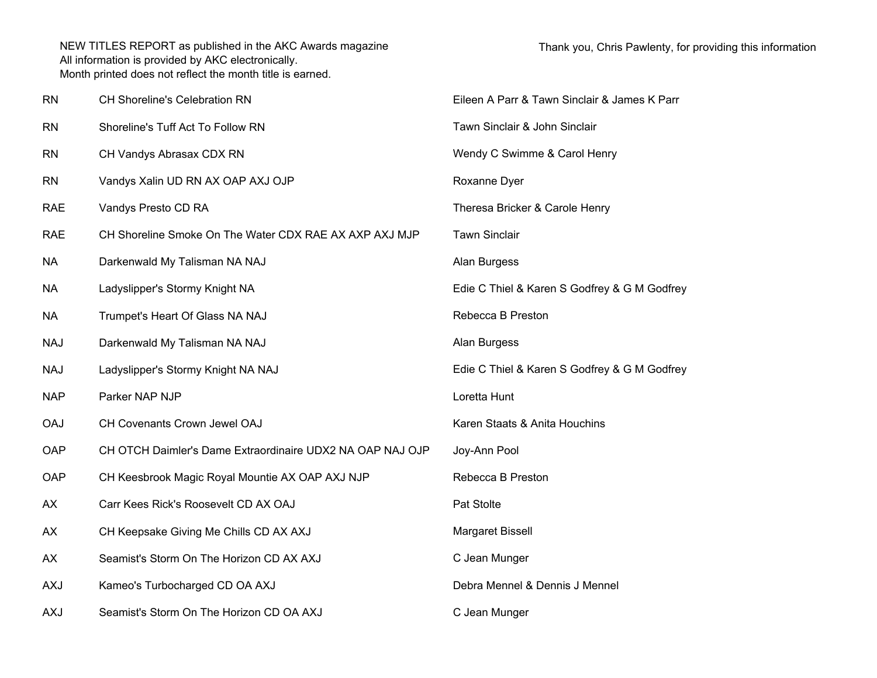| <b>RN</b>  | CH Shoreline's Celebration RN                             | Eileen A Parr & Tawn Sinclair & James K Parr |
|------------|-----------------------------------------------------------|----------------------------------------------|
| <b>RN</b>  | Shoreline's Tuff Act To Follow RN                         | Tawn Sinclair & John Sinclair                |
| <b>RN</b>  | CH Vandys Abrasax CDX RN                                  | Wendy C Swimme & Carol Henry                 |
| <b>RN</b>  | Vandys Xalin UD RN AX OAP AXJ OJP                         | Roxanne Dyer                                 |
| <b>RAE</b> | Vandys Presto CD RA                                       | Theresa Bricker & Carole Henry               |
| <b>RAE</b> | CH Shoreline Smoke On The Water CDX RAE AX AXP AXJ MJP    | <b>Tawn Sinclair</b>                         |
| <b>NA</b>  | Darkenwald My Talisman NA NAJ                             | Alan Burgess                                 |
| <b>NA</b>  | Ladyslipper's Stormy Knight NA                            | Edie C Thiel & Karen S Godfrey & G M Godfrey |
| <b>NA</b>  | Trumpet's Heart Of Glass NA NAJ                           | Rebecca B Preston                            |
| <b>NAJ</b> | Darkenwald My Talisman NA NAJ                             | Alan Burgess                                 |
| <b>NAJ</b> | Ladyslipper's Stormy Knight NA NAJ                        | Edie C Thiel & Karen S Godfrey & G M Godfrey |
| <b>NAP</b> | Parker NAP NJP                                            | Loretta Hunt                                 |
| <b>OAJ</b> | CH Covenants Crown Jewel OAJ                              | Karen Staats & Anita Houchins                |
| OAP        | CH OTCH Daimler's Dame Extraordinaire UDX2 NA OAP NAJ OJP | Joy-Ann Pool                                 |
| OAP        | CH Keesbrook Magic Royal Mountie AX OAP AXJ NJP           | Rebecca B Preston                            |
| AX         | Carr Kees Rick's Roosevelt CD AX OAJ                      | Pat Stolte                                   |
| AX         | CH Keepsake Giving Me Chills CD AX AXJ                    | Margaret Bissell                             |
| AX         | Seamist's Storm On The Horizon CD AX AXJ                  | C Jean Munger                                |
| <b>AXJ</b> | Kameo's Turbocharged CD OA AXJ                            | Debra Mennel & Dennis J Mennel               |
| <b>AXJ</b> | Seamist's Storm On The Horizon CD OA AXJ                  | C Jean Munger                                |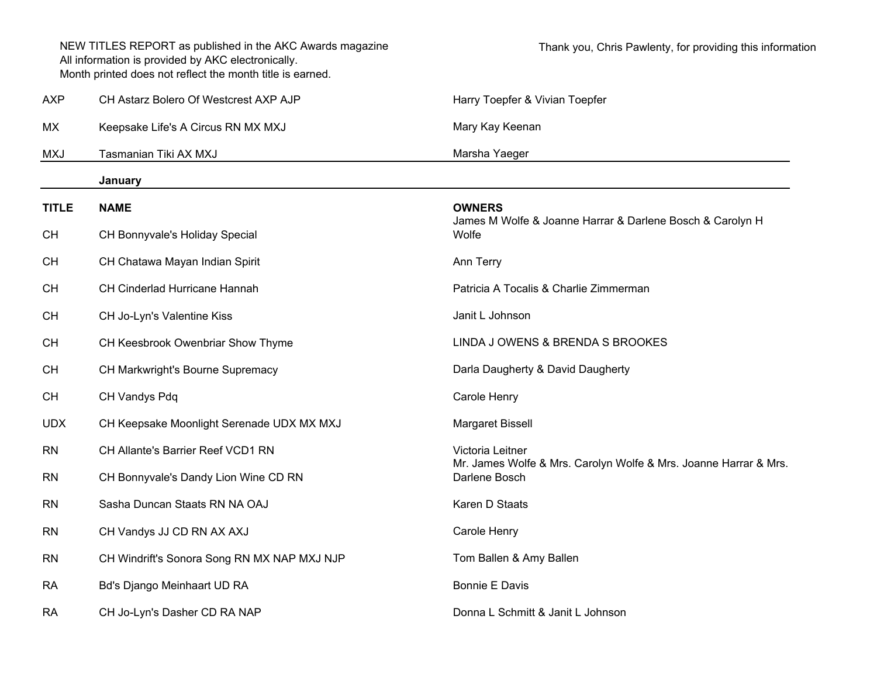|              | NEW TITLES REPORT as published in the AKC Awards magazine<br>All information is provided by AKC electronically.<br>Month printed does not reflect the month title is earned. | Thank you, Chris Pawlenty, for providing this information                         |
|--------------|------------------------------------------------------------------------------------------------------------------------------------------------------------------------------|-----------------------------------------------------------------------------------|
| <b>AXP</b>   | CH Astarz Bolero Of Westcrest AXP AJP                                                                                                                                        | Harry Toepfer & Vivian Toepfer                                                    |
| МX           | Keepsake Life's A Circus RN MX MXJ                                                                                                                                           | Mary Kay Keenan                                                                   |
| <b>MXJ</b>   | Tasmanian Tiki AX MXJ                                                                                                                                                        | Marsha Yaeger                                                                     |
|              | January                                                                                                                                                                      |                                                                                   |
| <b>TITLE</b> | <b>NAME</b>                                                                                                                                                                  | <b>OWNERS</b>                                                                     |
| <b>CH</b>    | CH Bonnyvale's Holiday Special                                                                                                                                               | James M Wolfe & Joanne Harrar & Darlene Bosch & Carolyn H<br>Wolfe                |
| <b>CH</b>    | CH Chatawa Mayan Indian Spirit                                                                                                                                               | Ann Terry                                                                         |
| <b>CH</b>    | CH Cinderlad Hurricane Hannah                                                                                                                                                | Patricia A Tocalis & Charlie Zimmerman                                            |
| <b>CH</b>    | CH Jo-Lyn's Valentine Kiss                                                                                                                                                   | Janit L Johnson                                                                   |
| <b>CH</b>    | CH Keesbrook Owenbriar Show Thyme                                                                                                                                            | LINDA J OWENS & BRENDA S BROOKES                                                  |
| <b>CH</b>    | CH Markwright's Bourne Supremacy                                                                                                                                             | Darla Daugherty & David Daugherty                                                 |
| <b>CH</b>    | CH Vandys Pdq                                                                                                                                                                | Carole Henry                                                                      |
| <b>UDX</b>   | CH Keepsake Moonlight Serenade UDX MX MXJ                                                                                                                                    | Margaret Bissell                                                                  |
| <b>RN</b>    | CH Allante's Barrier Reef VCD1 RN                                                                                                                                            | Victoria Leitner                                                                  |
| <b>RN</b>    | CH Bonnyvale's Dandy Lion Wine CD RN                                                                                                                                         | Mr. James Wolfe & Mrs. Carolyn Wolfe & Mrs. Joanne Harrar & Mrs.<br>Darlene Bosch |
| <b>RN</b>    | Sasha Duncan Staats RN NA OAJ                                                                                                                                                | Karen D Staats                                                                    |
| <b>RN</b>    | CH Vandys JJ CD RN AX AXJ                                                                                                                                                    | Carole Henry                                                                      |
| <b>RN</b>    | CH Windrift's Sonora Song RN MX NAP MXJ NJP                                                                                                                                  | Tom Ballen & Amy Ballen                                                           |
| <b>RA</b>    | Bd's Django Meinhaart UD RA                                                                                                                                                  | Bonnie E Davis                                                                    |
| <b>RA</b>    | CH Jo-Lyn's Dasher CD RA NAP                                                                                                                                                 | Donna L Schmitt & Janit L Johnson                                                 |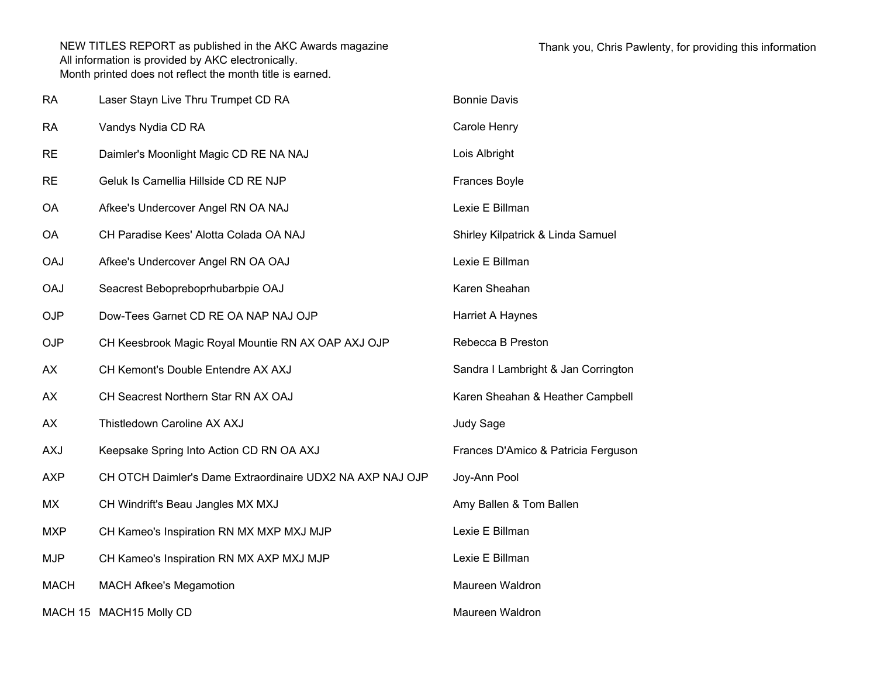| <b>RA</b>   | Laser Stayn Live Thru Trumpet CD RA                       | <b>Bonnie Davis</b>                 |
|-------------|-----------------------------------------------------------|-------------------------------------|
| <b>RA</b>   | Vandys Nydia CD RA                                        | Carole Henry                        |
| <b>RE</b>   | Daimler's Moonlight Magic CD RE NA NAJ                    | Lois Albright                       |
| <b>RE</b>   | Geluk Is Camellia Hillside CD RE NJP                      | <b>Frances Boyle</b>                |
| OA          | Afkee's Undercover Angel RN OA NAJ                        | Lexie E Billman                     |
| <b>OA</b>   | CH Paradise Kees' Alotta Colada OA NAJ                    | Shirley Kilpatrick & Linda Samuel   |
| <b>OAJ</b>  | Afkee's Undercover Angel RN OA OAJ                        | Lexie E Billman                     |
| <b>OAJ</b>  | Seacrest Bebopreboprhubarbpie OAJ                         | Karen Sheahan                       |
| <b>OJP</b>  | Dow-Tees Garnet CD RE OA NAP NAJ OJP                      | Harriet A Haynes                    |
| <b>OJP</b>  | CH Keesbrook Magic Royal Mountie RN AX OAP AXJ OJP        | Rebecca B Preston                   |
| AX          | CH Kemont's Double Entendre AX AXJ                        | Sandra I Lambright & Jan Corrington |
| AX          | CH Seacrest Northern Star RN AX OAJ                       | Karen Sheahan & Heather Campbell    |
| AX          | Thistledown Caroline AX AXJ                               | Judy Sage                           |
| <b>AXJ</b>  | Keepsake Spring Into Action CD RN OA AXJ                  | Frances D'Amico & Patricia Ferguson |
| <b>AXP</b>  | CH OTCH Daimler's Dame Extraordinaire UDX2 NA AXP NAJ OJP | Joy-Ann Pool                        |
| MX          | CH Windrift's Beau Jangles MX MXJ                         | Amy Ballen & Tom Ballen             |
| <b>MXP</b>  | CH Kameo's Inspiration RN MX MXP MXJ MJP                  | Lexie E Billman                     |
| <b>MJP</b>  | CH Kameo's Inspiration RN MX AXP MXJ MJP                  | Lexie E Billman                     |
| <b>MACH</b> | <b>MACH Afkee's Megamotion</b>                            | Maureen Waldron                     |
|             | MACH 15 MACH 15 Molly CD                                  | Maureen Waldron                     |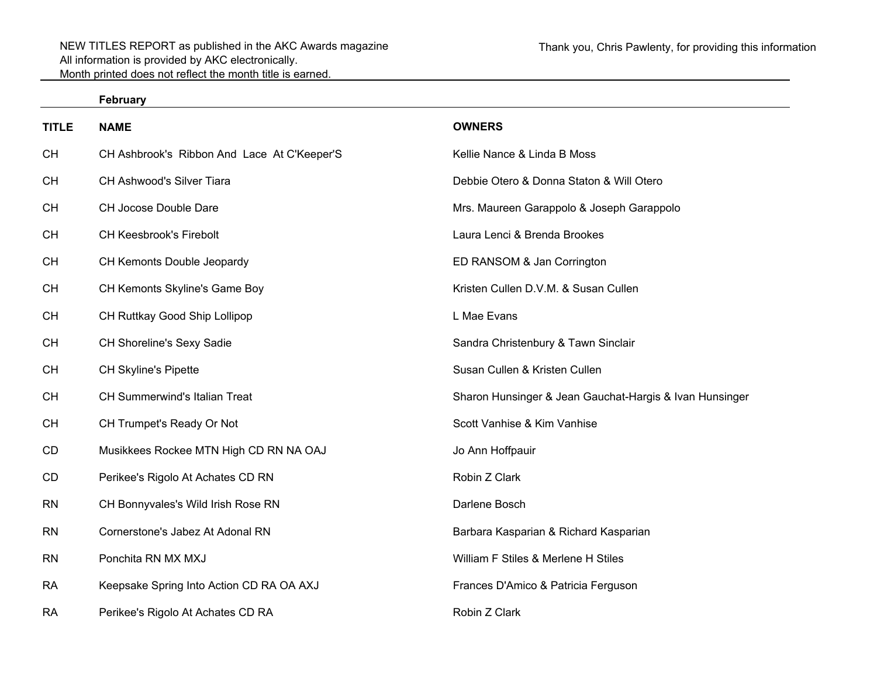| ebruary |  |
|---------|--|
|---------|--|

| <b>TITLE</b> | <b>NAME</b>                                 | <b>OWNERS</b>                                           |
|--------------|---------------------------------------------|---------------------------------------------------------|
| <b>CH</b>    | CH Ashbrook's Ribbon And Lace At C'Keeper'S | Kellie Nance & Linda B Moss                             |
| <b>CH</b>    | CH Ashwood's Silver Tiara                   | Debbie Otero & Donna Staton & Will Otero                |
| <b>CH</b>    | CH Jocose Double Dare                       | Mrs. Maureen Garappolo & Joseph Garappolo               |
| <b>CH</b>    | <b>CH Keesbrook's Firebolt</b>              | Laura Lenci & Brenda Brookes                            |
| <b>CH</b>    | CH Kemonts Double Jeopardy                  | ED RANSOM & Jan Corrington                              |
| <b>CH</b>    | CH Kemonts Skyline's Game Boy               | Kristen Cullen D.V.M. & Susan Cullen                    |
| <b>CH</b>    | CH Ruttkay Good Ship Lollipop               | L Mae Evans                                             |
| <b>CH</b>    | CH Shoreline's Sexy Sadie                   | Sandra Christenbury & Tawn Sinclair                     |
| <b>CH</b>    | <b>CH Skyline's Pipette</b>                 | Susan Cullen & Kristen Cullen                           |
| CH           | CH Summerwind's Italian Treat               | Sharon Hunsinger & Jean Gauchat-Hargis & Ivan Hunsinger |
| <b>CH</b>    | CH Trumpet's Ready Or Not                   | Scott Vanhise & Kim Vanhise                             |
| CD           | Musikkees Rockee MTN High CD RN NA OAJ      | Jo Ann Hoffpauir                                        |
| CD           | Perikee's Rigolo At Achates CD RN           | Robin Z Clark                                           |
| <b>RN</b>    | CH Bonnyvales's Wild Irish Rose RN          | Darlene Bosch                                           |
| <b>RN</b>    | Cornerstone's Jabez At Adonal RN            | Barbara Kasparian & Richard Kasparian                   |
| <b>RN</b>    | Ponchita RN MX MXJ                          | William F Stiles & Merlene H Stiles                     |
| <b>RA</b>    | Keepsake Spring Into Action CD RA OA AXJ    | Frances D'Amico & Patricia Ferguson                     |
| <b>RA</b>    | Perikee's Rigolo At Achates CD RA           | Robin Z Clark                                           |